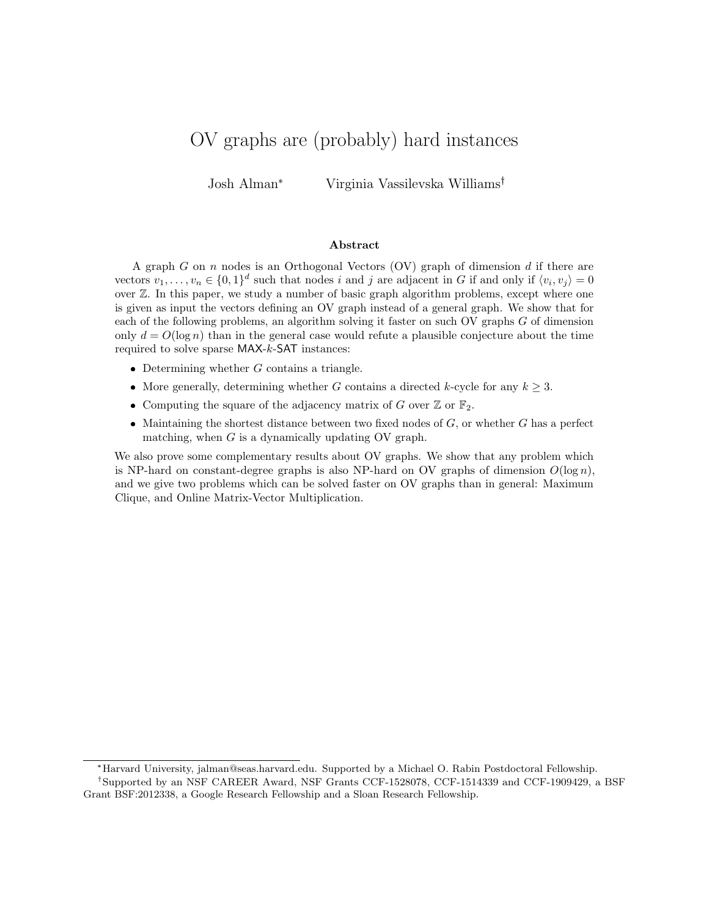# OV graphs are (probably) hard instances

Josh Alman\* Virginia Vassilevska Williams

#### Abstract

A graph  $G$  on  $n$  nodes is an Orthogonal Vectors  $(OV)$  graph of dimension  $d$  if there are vectors  $v_1, \ldots, v_n \in \{0,1\}^d$  such that nodes i and j are adjacent in G if and only if  $\langle v_i, v_j \rangle = 0$ over  $\mathbb Z$ . In this paper, we study a number of basic graph algorithm problems, except where one is given as input the vectors defining an OV graph instead of a general graph. We show that for each of the following problems, an algorithm solving it faster on such OV graphs G of dimension only  $d = O(\log n)$  than in the general case would refute a plausible conjecture about the time required to solve sparse MAX-k-SAT instances:

- $\bullet$  Determining whether  $G$  contains a triangle.
- More generally, determining whether G contains a directed k-cycle for any  $k \geq 3$ .
- Computing the square of the adjacency matrix of G over  $\mathbb Z$  or  $\mathbb F_2$ .
- $\bullet$  Maintaining the shortest distance between two fixed nodes of  $G$ , or whether  $G$  has a perfect matching, when  $G$  is a dynamically updating OV graph.

We also prove some complementary results about OV graphs. We show that any problem which is NP-hard on constant-degree graphs is also NP-hard on OV graphs of dimension  $O(\log n)$ , and we give two problems which can be solved faster on OV graphs than in general: Maximum Clique, and Online Matrix-Vector Multiplication.

<sup>\*</sup>Harvard University, jalman@seas.harvard.edu. Supported by a Michael O. Rabin Postdoctoral Fellowship.

<sup>&</sup>lt;sup>†</sup>Supported by an NSF CAREER Award, NSF Grants CCF-1528078, CCF-1514339 and CCF-1909429, a BSF Grant BSF:2012338, a Google Research Fellowship and a Sloan Research Fellowship.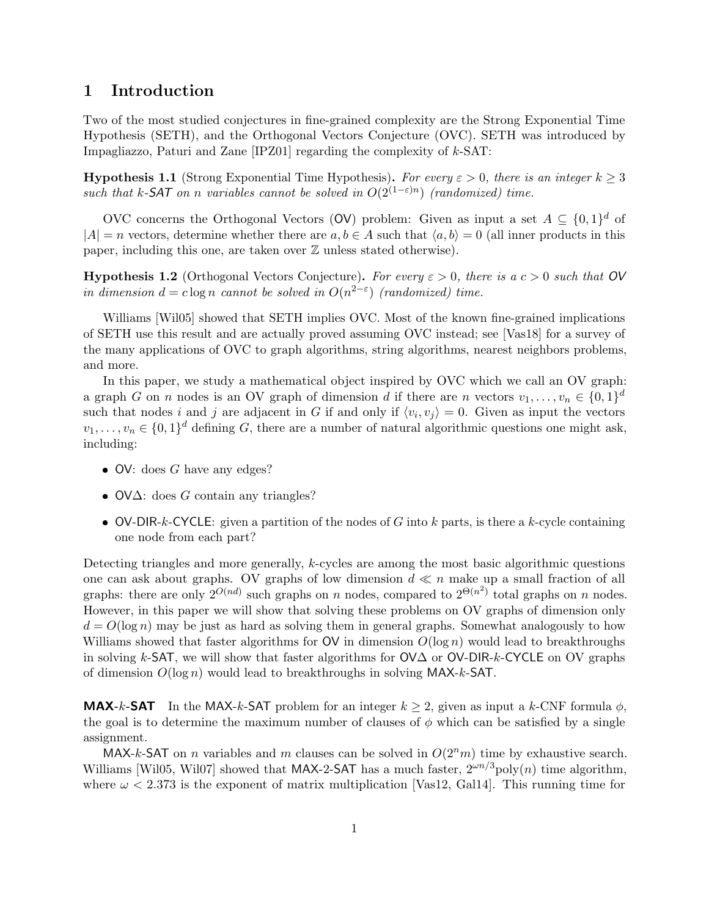### 1 Introduction

Two of the most studied conjectures in fine-grained complexity are the Strong Exponential Time Hypothesis (SETH), and the Orthogonal Vectors Conjecture (OVC). SETH was introduced by Impagliazzo, Paturi and Zane [IPZ01] regarding the complexity of k-SAT:

**Hypothesis 1.1** (Strong Exponential Time Hypothesis). For every  $\varepsilon > 0$ , there is an integer  $k \geq 3$ such that k-SAT on n variables cannot be solved in  $O(2^{(1-\varepsilon)n})$  (randomized) time.

OVC concerns the Orthogonal Vectors (OV) problem: Given as input a set  $A \subseteq \{0,1\}^d$  of  $|A| = n$  vectors, determine whether there are  $a, b \in A$  such that  $\langle a, b \rangle = 0$  (all inner products in this paper, including this one, are taken over  $\mathbb Z$  unless stated otherwise).

**Hypothesis 1.2** (Orthogonal Vectors Conjecture). For every  $\varepsilon > 0$ , there is a  $c > 0$  such that OV in dimension  $d = c \log n$  cannot be solved in  $O(n^{2-\epsilon})$  (randomized) time.

Williams [Wil05] showed that SETH implies OVC. Most of the known fine-grained implications of SETH use this result and are actually proved assuming OVC instead; see [Vas18] for a survey of the many applications of OVC to graph algorithms, string algorithms, nearest neighbors problems, and more.

In this paper, we study a mathematical object inspired by OVC which we call an OV graph: a graph G on n nodes is an OV graph of dimension d if there are n vectors  $v_1, \ldots, v_n \in \{0,1\}^d$ such that nodes i and j are adjacent in G if and only if  $\langle v_i, v_j \rangle = 0$ . Given as input the vectors  $v_1, \ldots, v_n \in \{0,1\}^d$  defining G, there are a number of natural algorithmic questions one might ask, including:

- $\bullet$  OV: does G have any edges?
- $\bullet$  OV $\Delta$ : does G contain any triangles?
- OV-DIR-k-CYCLE: given a partition of the nodes of G into k parts, is there a k-cycle containing one node from each part?

Detecting triangles and more generally, k-cycles are among the most basic algorithmic questions one can ask about graphs. OV graphs of low dimension  $d \ll n$  make up a small fraction of all graphs: there are only  $2^{O(nd)}$  such graphs on n nodes, compared to  $2^{\Theta(n^2)}$  total graphs on n nodes. However, in this paper we will show that solving these problems on OV graphs of dimension only  $d = O(\log n)$  may be just as hard as solving them in general graphs. Somewhat analogously to how Williams showed that faster algorithms for  $\mathsf{OV}$  in dimension  $O(\log n)$  would lead to breakthroughs in solving k-SAT, we will show that faster algorithms for OV∆ or OV-DIR-k-CYCLE on OV graphs of dimension  $O(\log n)$  would lead to breakthroughs in solving MAX-k-SAT.

**MAX-k-SAT** In the MAX-k-SAT problem for an integer  $k \geq 2$ , given as input a k-CNF formula  $\phi$ , the goal is to determine the maximum number of clauses of  $\phi$  which can be satisfied by a single assignment.

MAX-k-SAT on n variables and m clauses can be solved in  $O(2<sup>n</sup>m)$  time by exhaustive search. Williams [Wil05, Wil07] showed that MAX-2-SAT has a much faster,  $2^{\omega n/3}$ poly $(n)$  time algorithm, where  $\omega < 2.373$  is the exponent of matrix multiplication [Vas12, Gal14]. This running time for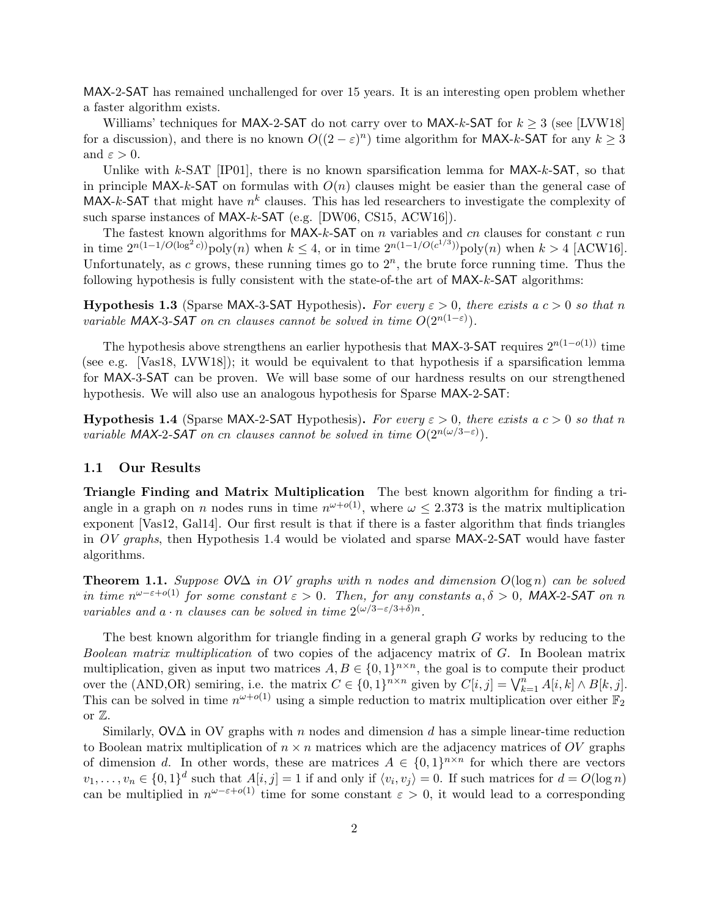MAX-2-SAT has remained unchallenged for over 15 years. It is an interesting open problem whether a faster algorithm exists.

Williams' techniques for MAX-2-SAT do not carry over to MAX-k-SAT for  $k \geq 3$  (see [LVW18] for a discussion), and there is no known  $O((2 - \varepsilon)^n)$  time algorithm for MAX-k-SAT for any  $k \geq 3$ and  $\varepsilon > 0$ .

Unlike with k-SAT [IP01], there is no known sparsification lemma for  $MAX-k-SAT$ , so that in principle MAX-k-SAT on formulas with  $O(n)$  clauses might be easier than the general case of MAX-k-SAT that might have  $n^k$  clauses. This has led researchers to investigate the complexity of such sparse instances of MAX-k-SAT (e.g. [DW06, CS15, ACW16]).

The fastest known algorithms for MAX-k-SAT on n variables and cn clauses for constant c run in time  $2^{n(1-1/O(\log^2 c))}$  poly $(n)$  when  $k \leq 4$ , or in time  $2^{n(1-1/O(c^{1/3}))}$  poly $(n)$  when  $k > 4$  [ACW16]. Unfortunately, as  $c$  grows, these running times go to  $2<sup>n</sup>$ , the brute force running time. Thus the following hypothesis is fully consistent with the state-of-the art of MAX-k-SAT algorithms:

**Hypothesis 1.3** (Sparse MAX-3-SAT Hypothesis). For every  $\varepsilon > 0$ , there exists a  $c > 0$  so that n variable MAX-3-SAT on cn clauses cannot be solved in time  $O(2^{n(1-\varepsilon)})$ .

The hypothesis above strengthens an earlier hypothesis that MAX-3-SAT requires  $2^{n(1-o(1))}$  time (see e.g. [Vas18, LVW18]); it would be equivalent to that hypothesis if a sparsification lemma for MAX-3-SAT can be proven. We will base some of our hardness results on our strengthened hypothesis. We will also use an analogous hypothesis for Sparse MAX-2-SAT:

**Hypothesis 1.4** (Sparse MAX-2-SAT Hypothesis). For every  $\varepsilon > 0$ , there exists a  $c > 0$  so that n variable MAX-2-SAT on cn clauses cannot be solved in time  $O(2^{n(\omega/3-\varepsilon)})$ .

#### 1.1 Our Results

Triangle Finding and Matrix Multiplication The best known algorithm for finding a triangle in a graph on *n* nodes runs in time  $n^{\omega+o(1)}$ , where  $\omega \leq 2.373$  is the matrix multiplication exponent [Vas12, Gal14]. Our first result is that if there is a faster algorithm that finds triangles in  $OV$  graphs, then Hypothesis 1.4 would be violated and sparse  $MAX-2-SAT$  would have faster algorithms.

Theorem 1.1. Suppose  $O\vee\Delta$  in OV graphs with n nodes and dimension  $O(\log n)$  can be solved in time  $n^{\omega-\varepsilon+o(1)}$  for some constant  $\varepsilon > 0$ . Then, for any constants  $a, \delta > 0$ , MAX-2-SAT on n variables and  $a \cdot n$  clauses can be solved in time  $2^{(\omega/3 - \varepsilon/3 + \delta)n}$ .

The best known algorithm for triangle finding in a general graph G works by reducing to the Boolean matrix multiplication of two copies of the adjacency matrix of G. In Boolean matrix multiplication, given as input two matrices  $A, B \in \{0,1\}^{n \times n}$ , the goal is to compute their product over the (AND,OR) semiring, i.e. the matrix  $C \in \{0,1\}^{n \times n}$  given by  $C[i, j] = \bigvee_{k=1}^{n} A[i, k] \wedge B[k, j]$ . This can be solved in time  $n^{\omega+o(1)}$  using a simple reduction to matrix multiplication over either  $\mathbb{F}_2$ or Z.

Similarly,  $\mathsf{O}V\Delta$  in  $\mathsf{O}V$  graphs with n nodes and dimension d has a simple linear-time reduction to Boolean matrix multiplication of  $n \times n$  matrices which are the adjacency matrices of OV graphs of dimension d. In other words, these are matrices  $A \in \{0,1\}^{n \times n}$  for which there are vectors  $v_1, \ldots, v_n \in \{0,1\}^d$  such that  $A[i, j] = 1$  if and only if  $\langle v_i, v_j \rangle = 0$ . If such matrices for  $d = O(\log n)$ can be multiplied in  $n^{\omega-\varepsilon+o(1)}$  time for some constant  $\varepsilon > 0$ , it would lead to a corresponding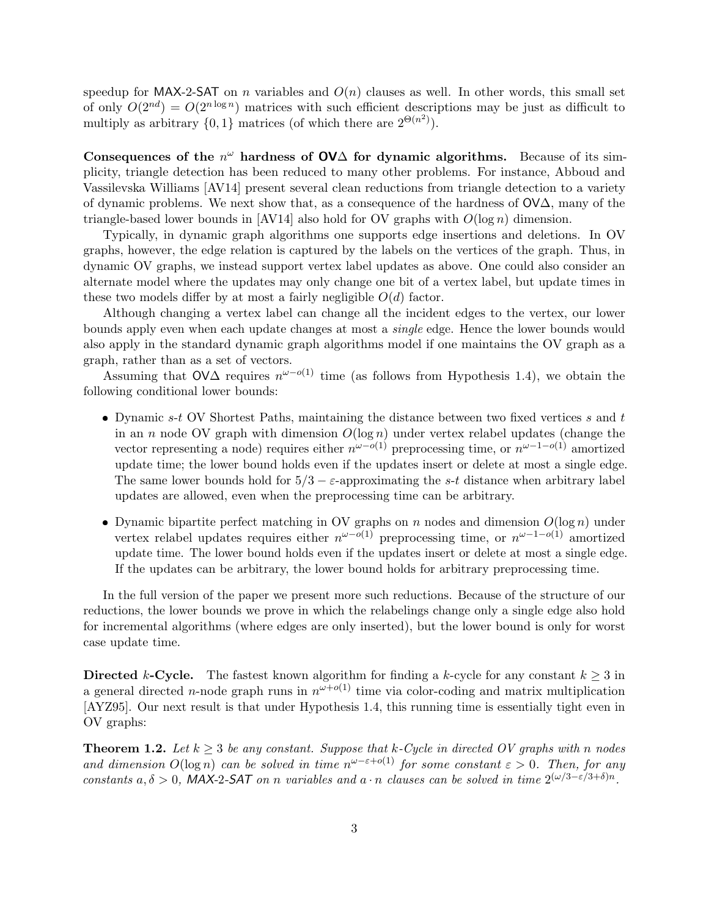speedup for MAX-2-SAT on n variables and  $O(n)$  clauses as well. In other words, this small set of only  $O(2^{nd}) = O(2^{n \log n})$  matrices with such efficient descriptions may be just as difficult to multiply as arbitrary  $\{0,1\}$  matrices (of which there are  $2^{\Theta(n^2)}$ ).

Consequences of the  $n^{\omega}$  hardness of OV $\Delta$  for dynamic algorithms. Because of its simplicity, triangle detection has been reduced to many other problems. For instance, Abboud and Vassilevska Williams [AV14] present several clean reductions from triangle detection to a variety of dynamic problems. We next show that, as a consequence of the hardness of  $\mathsf{OVA}$ , many of the triangle-based lower bounds in  $\left[\text{AV14}\right]$  also hold for OV graphs with  $O(\log n)$  dimension.

Typically, in dynamic graph algorithms one supports edge insertions and deletions. In OV graphs, however, the edge relation is captured by the labels on the vertices of the graph. Thus, in dynamic OV graphs, we instead support vertex label updates as above. One could also consider an alternate model where the updates may only change one bit of a vertex label, but update times in these two models differ by at most a fairly negligible  $O(d)$  factor.

Although changing a vertex label can change all the incident edges to the vertex, our lower bounds apply even when each update changes at most a single edge. Hence the lower bounds would also apply in the standard dynamic graph algorithms model if one maintains the OV graph as a graph, rather than as a set of vectors.

Assuming that  $\mathsf{O} \mathsf{V} \Delta$  requires  $n^{\omega-o(1)}$  time (as follows from Hypothesis 1.4), we obtain the following conditional lower bounds:

- Dynamic  $s-t$  OV Shortest Paths, maintaining the distance between two fixed vertices  $s$  and  $t$ in an n node OV graph with dimension  $O(\log n)$  under vertex relabel updates (change the vector representing a node) requires either  $n^{\omega-o(1)}$  preprocessing time, or  $n^{\omega-1-o(1)}$  amortized update time; the lower bound holds even if the updates insert or delete at most a single edge. The same lower bounds hold for  $5/3 - \varepsilon$ -approximating the s-t distance when arbitrary label updates are allowed, even when the preprocessing time can be arbitrary.
- Dynamic bipartite perfect matching in OV graphs on n nodes and dimension  $O(\log n)$  under vertex relabel updates requires either  $n^{\omega-o(1)}$  preprocessing time, or  $n^{\omega-1-o(1)}$  amortized update time. The lower bound holds even if the updates insert or delete at most a single edge. If the updates can be arbitrary, the lower bound holds for arbitrary preprocessing time.

In the full version of the paper we present more such reductions. Because of the structure of our reductions, the lower bounds we prove in which the relabelings change only a single edge also hold for incremental algorithms (where edges are only inserted), but the lower bound is only for worst case update time.

Directed k-Cycle. The fastest known algorithm for finding a k-cycle for any constant  $k > 3$  in a general directed *n*-node graph runs in  $n^{\omega+o(1)}$  time via color-coding and matrix multiplication [AYZ95]. Our next result is that under Hypothesis 1.4, this running time is essentially tight even in OV graphs:

**Theorem 1.2.** Let  $k \geq 3$  be any constant. Suppose that k-Cycle in directed OV graphs with n nodes and dimension  $O(\log n)$  can be solved in time  $n^{\omega-\epsilon+o(1)}$  for some constant  $\epsilon > 0$ . Then, for any constants  $a, \delta > 0$ , MAX-2-SAT on n variables and  $a \cdot n$  clauses can be solved in time  $2^{(\omega/3 - \epsilon/3 + \delta)n}$ .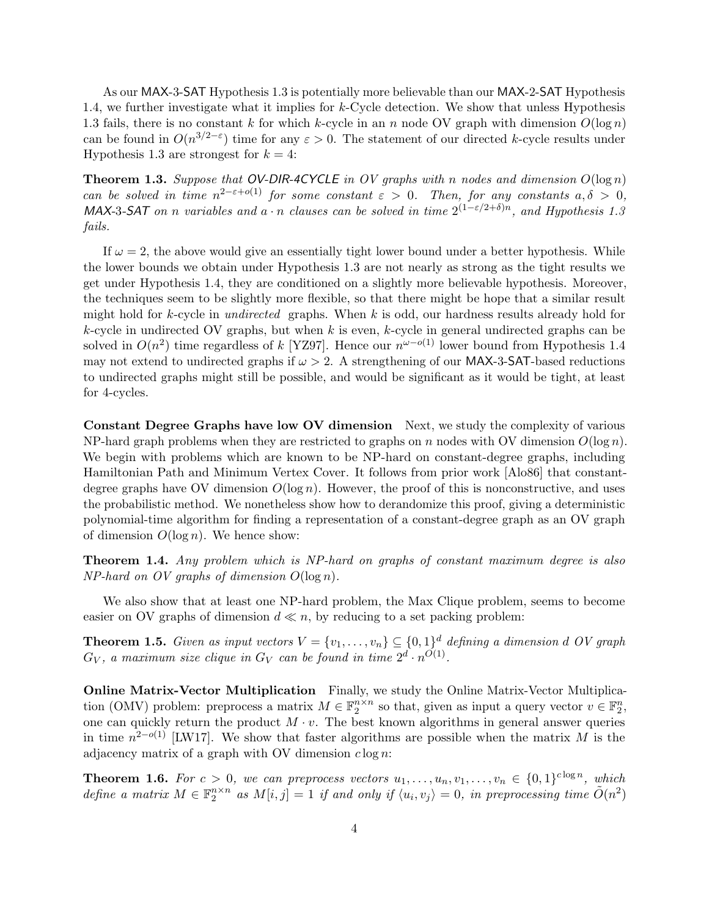As our MAX-3-SAT Hypothesis 1.3 is potentially more believable than our MAX-2-SAT Hypothesis 1.4, we further investigate what it implies for  $k$ -Cycle detection. We show that unless Hypothesis 1.3 fails, there is no constant k for which k-cycle in an n node OV graph with dimension  $O(\log n)$ can be found in  $O(n^{3/2-\epsilon})$  time for any  $\epsilon > 0$ . The statement of our directed k-cycle results under Hypothesis 1.3 are strongest for  $k = 4$ :

**Theorem 1.3.** Suppose that OV-DIR-4CYCLE in OV graphs with n nodes and dimension  $O(\log n)$ can be solved in time  $n^{2-\epsilon+o(1)}$  for some constant  $\epsilon > 0$ . Then, for any constants  $a, \delta > 0$ , MAX-3-SAT on n variables and  $a \cdot n$  clauses can be solved in time  $2^{(1-\epsilon/2+\delta)n}$ , and Hypothesis 1.3 fails.

If  $\omega = 2$ , the above would give an essentially tight lower bound under a better hypothesis. While the lower bounds we obtain under Hypothesis 1.3 are not nearly as strong as the tight results we get under Hypothesis 1.4, they are conditioned on a slightly more believable hypothesis. Moreover, the techniques seem to be slightly more flexible, so that there might be hope that a similar result might hold for k-cycle in *undirected* graphs. When  $k$  is odd, our hardness results already hold for  $k$ -cycle in undirected OV graphs, but when k is even,  $k$ -cycle in general undirected graphs can be solved in  $O(n^2)$  time regardless of k [YZ97]. Hence our  $n^{\omega-o(1)}$  lower bound from Hypothesis 1.4 may not extend to undirected graphs if  $\omega > 2$ . A strengthening of our MAX-3-SAT-based reductions to undirected graphs might still be possible, and would be significant as it would be tight, at least for 4-cycles.

Constant Degree Graphs have low OV dimension Next, we study the complexity of various NP-hard graph problems when they are restricted to graphs on n nodes with OV dimension  $O(\log n)$ . We begin with problems which are known to be NP-hard on constant-degree graphs, including Hamiltonian Path and Minimum Vertex Cover. It follows from prior work [Alo86] that constantdegree graphs have OV dimension  $O(\log n)$ . However, the proof of this is nonconstructive, and uses the probabilistic method. We nonetheless show how to derandomize this proof, giving a deterministic polynomial-time algorithm for finding a representation of a constant-degree graph as an OV graph of dimension  $O(\log n)$ . We hence show:

**Theorem 1.4.** Any problem which is NP-hard on graphs of constant maximum degree is also  $NP$ -hard on OV graphs of dimension  $O(\log n)$ .

We also show that at least one NP-hard problem, the Max Clique problem, seems to become easier on OV graphs of dimension  $d \ll n$ , by reducing to a set packing problem:

**Theorem 1.5.** Given as input vectors  $V = \{v_1, \ldots, v_n\} \subseteq \{0,1\}^d$  defining a dimension d OV graph  $G_V$ , a maximum size clique in  $G_V$  can be found in time  $2^d \cdot n^{O(1)}$ .

Online Matrix-Vector Multiplication Finally, we study the Online Matrix-Vector Multiplication (OMV) problem: preprocess a matrix  $M \in \mathbb{F}_2^{n \times n}$  so that, given as input a query vector  $v \in \mathbb{F}_2^n$ , one can quickly return the product  $M \cdot v$ . The best known algorithms in general answer queries in time  $n^{2-o(1)}$  [LW17]. We show that faster algorithms are possible when the matrix M is the adjacency matrix of a graph with OV dimension  $c \log n$ :

**Theorem 1.6.** For  $c > 0$ , we can preprocess vectors  $u_1, \ldots, u_n, v_1, \ldots, v_n \in \{0,1\}^{c \log n}$ , which define a matrix  $M \in \mathbb{F}_2^{n \times n}$  as  $M[i, j] = 1$  if and only if  $\langle u_i, v_j \rangle = 0$ , in preprocessing time  $\tilde{O}(n^2)$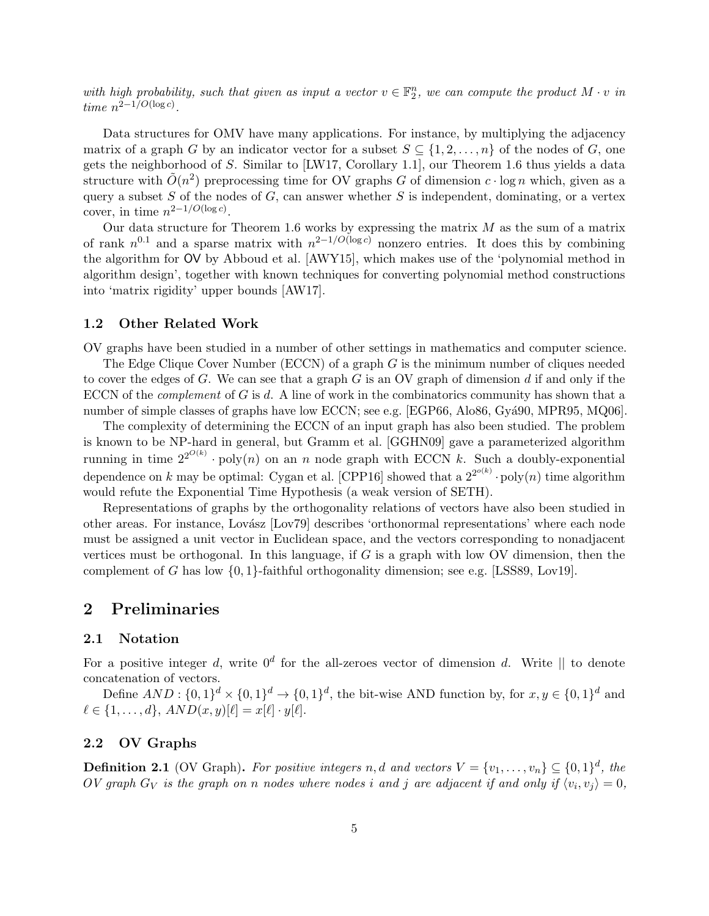with high probability, such that given as input a vector  $v \in \mathbb{F}_2^n$ , we can compute the product  $M \cdot v$  in time  $n^{2-1/O(\log c)}$ .

Data structures for OMV have many applications. For instance, by multiplying the adjacency matrix of a graph G by an indicator vector for a subset  $S \subseteq \{1, 2, ..., n\}$  of the nodes of G, one gets the neighborhood of S. Similar to [LW17, Corollary 1.1], our Theorem 1.6 thus yields a data structure with  $\tilde{O}(n^2)$  preprocessing time for OV graphs G of dimension  $c \cdot \log n$  which, given as a query a subset  $S$  of the nodes of  $G$ , can answer whether  $S$  is independent, dominating, or a vertex cover, in time  $n^{2-1/O(\log c)}$ .

Our data structure for Theorem 1.6 works by expressing the matrix  $M$  as the sum of a matrix of rank  $n^{0.1}$  and a sparse matrix with  $n^{2-1/O(\log c)}$  nonzero entries. It does this by combining the algorithm for OV by Abboud et al. [AWY15], which makes use of the 'polynomial method in algorithm design', together with known techniques for converting polynomial method constructions into 'matrix rigidity' upper bounds [AW17].

#### 1.2 Other Related Work

OV graphs have been studied in a number of other settings in mathematics and computer science.

The Edge Clique Cover Number (ECCN) of a graph G is the minimum number of cliques needed to cover the edges of G. We can see that a graph G is an OV graph of dimension  $d$  if and only if the ECCN of the *complement* of  $G$  is  $d$ . A line of work in the combinatorics community has shown that a number of simple classes of graphs have low ECCN; see e.g. [EGP66, Alo86, Gyá90, MPR95, MQ06].

The complexity of determining the ECCN of an input graph has also been studied. The problem is known to be NP-hard in general, but Gramm et al. [GGHN09] gave a parameterized algorithm running in time  $2^{2^{O(k)}} \cdot \text{poly}(n)$  on an n node graph with ECCN k. Such a doubly-exponential dependence on k may be optimal: Cygan et al. [CPP16] showed that a  $2^{2^{o(k)}} \cdot \text{poly}(n)$  time algorithm would refute the Exponential Time Hypothesis (a weak version of SETH).

Representations of graphs by the orthogonality relations of vectors have also been studied in other areas. For instance, Lovász [Lov79] describes 'orthonormal representations' where each node must be assigned a unit vector in Euclidean space, and the vectors corresponding to nonadjacent vertices must be orthogonal. In this language, if  $G$  is a graph with low OV dimension, then the complement of G has low  $\{0, 1\}$ -faithful orthogonality dimension; see e.g. [LSS89, Lov19].

### 2 Preliminaries

#### 2.1 Notation

For a positive integer d, write  $0^d$  for the all-zeroes vector of dimension d. Write  $\parallel$  to denote concatenation of vectors.

Define  $AND: \{0,1\}^d \times \{0,1\}^d \rightarrow \{0,1\}^d$ , the bit-wise AND function by, for  $x, y \in \{0,1\}^d$  and  $\ell \in \{1, ..., d\}, AND(x, y)[\ell] = x[\ell] \cdot y[\ell].$ 

#### 2.2 OV Graphs

**Definition 2.1** (OV Graph). For positive integers n, d and vectors  $V = \{v_1, \ldots, v_n\} \subseteq \{0, 1\}^d$ , the OV graph  $G_V$  is the graph on n nodes where nodes i and j are adjacent if and only if  $\langle v_i, v_j \rangle = 0$ ,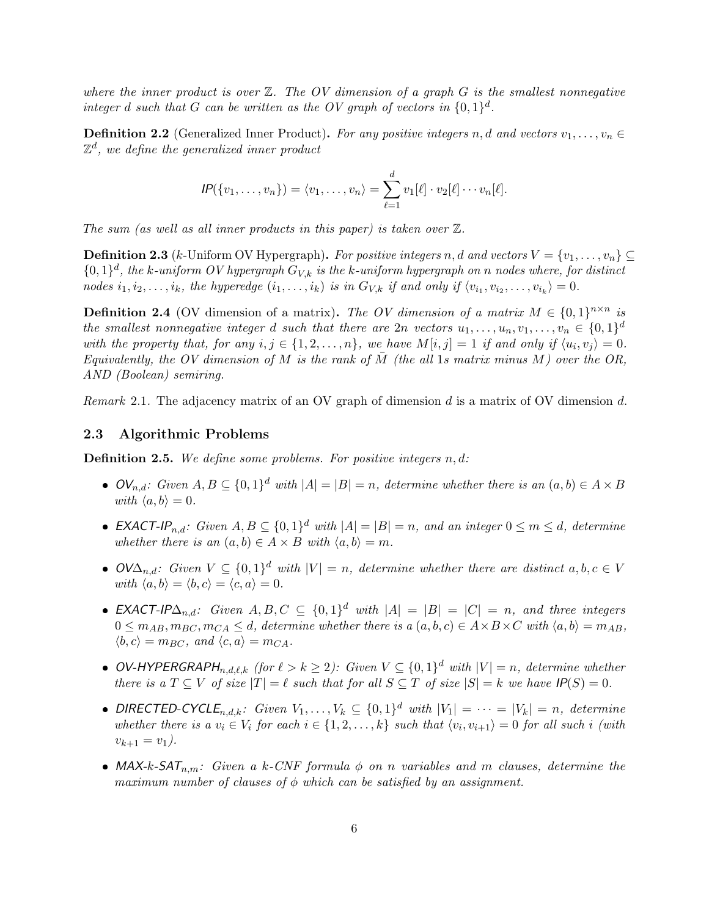where the inner product is over  $\mathbb{Z}$ . The OV dimension of a graph G is the smallest nonnegative integer d such that G can be written as the OV graph of vectors in  $\{0,1\}^d$ .

**Definition 2.2** (Generalized Inner Product). For any positive integers n, d and vectors  $v_1, \ldots, v_n \in$  $\mathbb{Z}^d$ , we define the generalized inner product

$$
IP({v_1,\ldots,v_n}) = \langle v_1,\ldots,v_n\rangle = \sum_{\ell=1}^d v_1[\ell]\cdot v_2[\ell]\cdots v_n[\ell].
$$

The sum (as well as all inner products in this paper) is taken over  $\mathbb{Z}$ .

**Definition 2.3** (k-Uniform OV Hypergraph). For positive integers n, d and vectors  $V = \{v_1, \ldots, v_n\} \subseteq$  ${0,1}^d$ , the k-uniform OV hypergraph  $G_{V,k}$  is the k-uniform hypergraph on n nodes where, for distinct nodes  $i_1, i_2, \ldots, i_k$ , the hyperedge  $(i_1, \ldots, i_k)$  is in  $G_{V,k}$  if and only if  $\langle v_{i_1}, v_{i_2}, \ldots, v_{i_k} \rangle = 0$ .

**Definition 2.4** (OV dimension of a matrix). The OV dimension of a matrix  $M \in \{0,1\}^{n \times n}$  is the smallest nonnegative integer d such that there are  $2n$  vectors  $u_1, \ldots, u_n, v_1, \ldots, v_n \in \{0,1\}^d$ with the property that, for any  $i, j \in \{1, 2, ..., n\}$ , we have  $M[i, j] = 1$  if and only if  $\langle u_i, v_j \rangle = 0$ . Equivalently, the OV dimension of M is the rank of  $\overline{M}$  (the all 1s matrix minus M) over the OR, AND (Boolean) semiring.

Remark 2.1. The adjacency matrix of an OV graph of dimension d is a matrix of OV dimension d.

#### 2.3 Algorithmic Problems

**Definition 2.5.** We define some problems. For positive integers  $n, d$ :

- $\mathcal{O}V_{n,d}$ : Given  $A, B \subseteq \{0,1\}^d$  with  $|A| = |B| = n$ , determine whether there is an  $(a, b) \in A \times B$ with  $\langle a, b \rangle = 0$ .
- **EXACT-IP**<sub>n,d</sub>: Given  $A, B \subseteq \{0, 1\}^d$  with  $|A| = |B| = n$ , and an integer  $0 \le m \le d$ , determine whether there is an  $(a, b) \in A \times B$  with  $\langle a, b \rangle = m$ .
- $OVA_{n,d}$ : Given  $V \subseteq \{0,1\}^d$  with  $|V| = n$ , determine whether there are distinct  $a, b, c \in V$ with  $\langle a, b \rangle = \langle b, c \rangle = \langle c, a \rangle = 0.$
- **EXACT-IP** $\Delta_{n,d}$ : Given  $A, B, C \subseteq \{0,1\}^d$  with  $|A| = |B| = |C| = n$ , and three integers  $0 \leq m_{AB}, m_{BC}, m_{CA} \leq d$ , determine whether there is  $a(a, b, c) \in A \times B \times C$  with  $\langle a, b \rangle = m_{AB}$ ,  $\langle b, c \rangle = m_{BC}$ , and  $\langle c, a \rangle = m_{CA}$ .
- OV-HYPERGRAPH<sub>n,d,l,k</sub> (for  $\ell > k \geq 2$ ): Given  $V \subseteq \{0, 1\}^d$  with  $|V| = n$ , determine whether there is a  $T \subseteq V$  of size  $|T| = \ell$  such that for all  $S \subseteq T$  of size  $|S| = k$  we have  $IP(S) = 0$ .
- DIRECTED-CYCLE<sub>n,d,k</sub>: Given  $V_1, \ldots, V_k \subseteq \{0,1\}^d$  with  $|V_1| = \cdots = |V_k| = n$ , determine whether there is a  $v_i \in V_i$  for each  $i \in \{1, 2, ..., k\}$  such that  $\langle v_i, v_{i+1} \rangle = 0$  for all such i (with  $v_{k+1} = v_1$ ).
- MAX-k-SAT<sub>n,m</sub>: Given a k-CNF formula  $\phi$  on n variables and m clauses, determine the maximum number of clauses of  $\phi$  which can be satisfied by an assignment.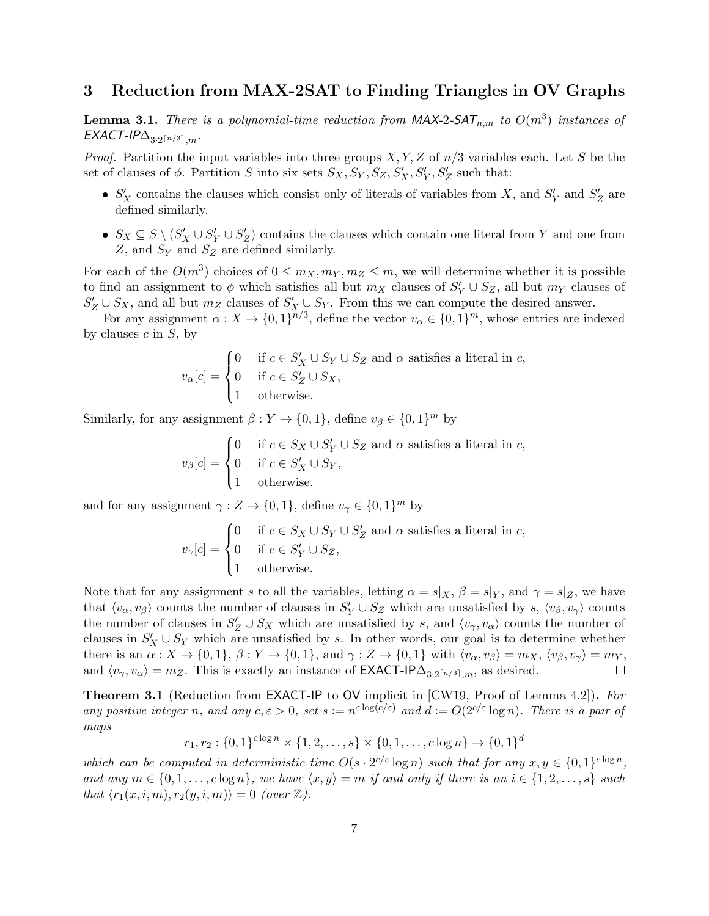### 3 Reduction from MAX-2SAT to Finding Triangles in OV Graphs

**Lemma 3.1.** There is a polynomial-time reduction from  $MAX-2-SAT_{n,m}$  to  $O(m^3)$  instances of  $\mathsf{EXACT\text{-}IP}\Delta_{3\cdot 2^{\lceil n/3\rceil},m}.$ 

*Proof.* Partition the input variables into three groups  $X, Y, Z$  of  $n/3$  variables each. Let S be the set of clauses of  $\phi$ . Partition S into six sets  $S_X, S_Y, S_Z, S'_X, S'_Y, S'_Z$  such that:

- $S'_X$  contains the clauses which consist only of literals of variables from X, and  $S'_Y$  and  $S'_Z$  are defined similarly.
- $S_X \subseteq S \setminus (S'_X \cup S'_Y \cup S'_Z)$  contains the clauses which contain one literal from Y and one from  $Z$ , and  $S_Y$  and  $S_Z$  are defined similarly.

For each of the  $O(m^3)$  choices of  $0 \le m_X, m_Y, m_Z \le m$ , we will determine whether it is possible to find an assignment to  $\phi$  which satisfies all but  $m_X$  clauses of  $S'_Y \cup S_Z$ , all but  $m_Y$  clauses of  $S'_Z \cup S_X$ , and all but  $m_Z$  clauses of  $S'_X \cup S_Y$ . From this we can compute the desired answer.

For any assignment  $\alpha: X \to \{0,1\}^{n/3}$ , define the vector  $v_\alpha \in \{0,1\}^m$ , whose entries are indexed by clauses  $c$  in  $S$ , by

$$
v_{\alpha}[c] = \begin{cases} 0 & \text{if } c \in S_X' \cup S_Y \cup S_Z \text{ and } \alpha \text{ satisfies a literal in } c, \\ 0 & \text{if } c \in S_Z' \cup S_X, \\ 1 & \text{otherwise.} \end{cases}
$$

Similarly, for any assignment  $\beta: Y \to \{0, 1\}$ , define  $v_{\beta} \in \{0, 1\}^m$  by

$$
v_{\beta}[c] = \begin{cases} 0 & \text{if } c \in S_X \cup S'_Y \cup S_Z \text{ and } \alpha \text{ satisfies a literal in } c, \\ 0 & \text{if } c \in S'_X \cup S_Y, \\ 1 & \text{otherwise.} \end{cases}
$$

and for any assignment  $\gamma : Z \to \{0,1\}$ , define  $v_{\gamma} \in \{0,1\}^m$  by

$$
v_{\gamma}[c] = \begin{cases} 0 & \text{if } c \in S_X \cup S_Y \cup S_Z' \text{ and } \alpha \text{ satisfies a literal in } c, \\ 0 & \text{if } c \in S_Y' \cup S_Z, \\ 1 & \text{otherwise.} \end{cases}
$$

Note that for any assignment s to all the variables, letting  $\alpha = s|_X$ ,  $\beta = s|_Y$ , and  $\gamma = s|_Z$ , we have that  $\langle v_\alpha, v_\beta \rangle$  counts the number of clauses in  $S'_Y \cup S_Z$  which are unsatisfied by s,  $\langle v_\beta, v_\gamma \rangle$  counts the number of clauses in  $S'_Z \cup S_X$  which are unsatisfied by s, and  $\langle v_\gamma, v_\alpha \rangle$  counts the number of clauses in  $S'_X \cup S_Y$  which are unsatisfied by s. In other words, our goal is to determine whether there is an  $\alpha: X \to \{0,1\}, \beta: Y \to \{0,1\}, \text{ and } \gamma: Z \to \{0,1\} \text{ with } \langle v_\alpha, v_\beta \rangle = m_X, \langle v_\beta, v_\gamma \rangle = m_Y,$ and  $\langle v_\gamma, v_\alpha \rangle = m_Z$ . This is exactly an instance of **EXACT-IP** $\Delta_{3\cdot2^{n/3},m}$ , as desired.  $\Box$ 

Theorem 3.1 (Reduction from EXACT-IP to OV implicit in [CW19, Proof of Lemma 4.2]). For any positive integer n, and any  $c, \varepsilon > 0$ , set  $s := n^{\varepsilon \log(c/\varepsilon)}$  and  $d := O(2^{c/\varepsilon} \log n)$ . There is a pair of maps

$$
r_1, r_2 : \{0, 1\}^{c \log n} \times \{1, 2, ..., s\} \times \{0, 1, ..., c \log n\} \to \{0, 1\}^d
$$

which can be computed in deterministic time  $O(s \cdot 2^{c/\varepsilon} \log n)$  such that for any  $x, y \in \{0, 1\}^{c \log n}$ , and any  $m \in \{0, 1, \ldots, c \log n\}$ , we have  $\langle x, y \rangle = m$  if and only if there is an  $i \in \{1, 2, \ldots, s\}$  such that  $\langle r_1(x, i, m), r_2(y, i, m) \rangle = 0$  (over  $\mathbb{Z}$ ).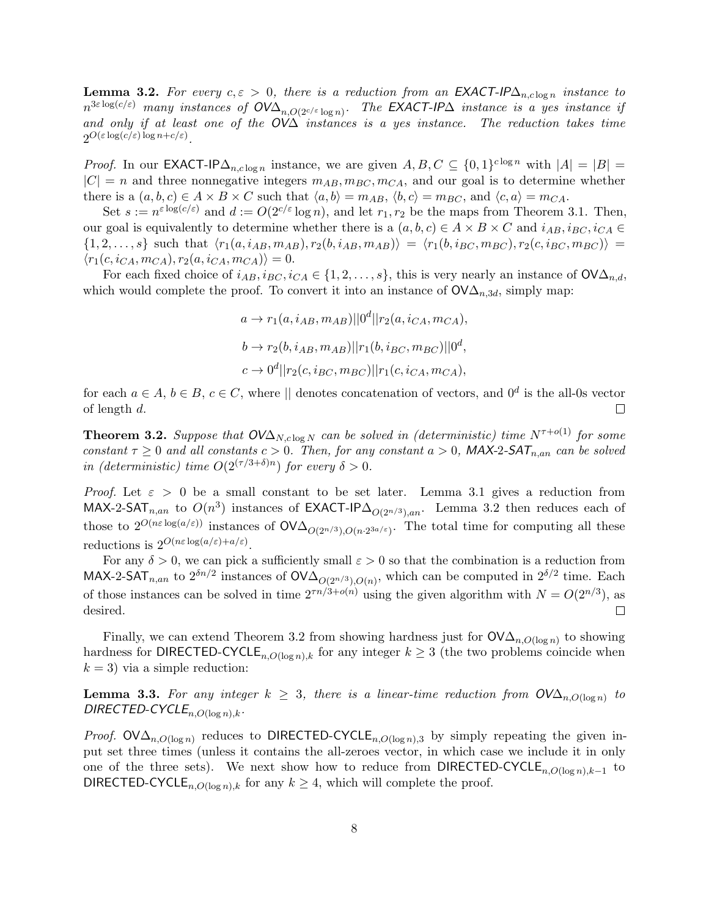**Lemma 3.2.** For every  $c, \varepsilon > 0$ , there is a reduction from an EXACT-IP $\Delta_{n,c \log n}$  instance to  $n^{3\varepsilon \log(c/\varepsilon)}$  many instances of  $\mathsf{OVA}_{n, O(2^{c/\varepsilon} \log n)}$ . The EXACT-IP $\Delta$  instance is a yes instance if and only if at least one of the  $O<sup>\prime</sup>\Delta$  instances is a yes instance. The reduction takes time  $2^{O(\varepsilon \log(c/\varepsilon) \log n + c/\varepsilon)}$ .

*Proof.* In our EXACT-IP $\Delta_{n,c \log n}$  instance, we are given  $A, B, C \subseteq \{0,1\}^{c \log n}$  with  $|A| = |B|$  $|C| = n$  and three nonnegative integers  $m_{AB}, m_{BC}, m_{CA}$ , and our goal is to determine whether there is a  $(a, b, c) \in A \times B \times C$  such that  $\langle a, b \rangle = m_{AB}, \langle b, c \rangle = m_{BC}$ , and  $\langle c, a \rangle = m_{CA}$ .

Set  $s := n^{\varepsilon \log(c/\varepsilon)}$  and  $d := O(2^{c/\varepsilon} \log n)$ , and let  $r_1, r_2$  be the maps from Theorem 3.1. Then, our goal is equivalently to determine whether there is a  $(a, b, c) \in A \times B \times C$  and  $i_{AB}, i_{BC}, i_{CA} \in$  $\{1, 2, \ldots, s\}$  such that  $\langle r_1(a, i_{AB}, m_{AB}), r_2(b, i_{AB}, m_{AB})\rangle = \langle r_1(b, i_{BC}, m_{BC}), r_2(c, i_{BC}, m_{BC})\rangle =$  $\langle r_1(c, i_{CA}, m_{CA}), r_2(a, i_{CA}, m_{CA})\rangle = 0.$ 

For each fixed choice of  $i_{AB}$ ,  $i_{BC}$ ,  $i_{CA} \in \{1, 2, ..., s\}$ , this is very nearly an instance of  $\mathsf{OVA}_{n,d}$ , which would complete the proof. To convert it into an instance of  $\mathsf{OVA}_{n,3d}$ , simply map:

$$
a \to r_1(a, i_{AB}, m_{AB})||0^d||r_2(a, i_{CA}, m_{CA}),
$$
  
\n
$$
b \to r_2(b, i_{AB}, m_{AB})||r_1(b, i_{BC}, m_{BC})||0^d,
$$
  
\n
$$
c \to 0^d||r_2(c, i_{BC}, m_{BC})||r_1(c, i_{CA}, m_{CA}),
$$

for each  $a \in A, b \in B, c \in C$ , where  $\parallel$  denotes concatenation of vectors, and  $0^d$  is the all-0s vector of length d.  $\Box$ 

**Theorem 3.2.** Suppose that  $OVA_{N, c \log N}$  can be solved in (deterministic) time  $N^{\tau+o(1)}$  for some constant  $\tau \geq 0$  and all constants  $c > 0$ . Then, for any constant  $a > 0$ , MAX-2-SAT<sub>n,an</sub> can be solved in (deterministic) time  $O(2^{(\tau/3+\delta)n})$  for every  $\delta > 0$ .

*Proof.* Let  $\varepsilon > 0$  be a small constant to be set later. Lemma 3.1 gives a reduction from MAX-2-SAT<sub>n,an</sub> to  $O(n^3)$  instances of EXACT-IP $\Delta_{O(2^{n/3}),an}$ . Lemma 3.2 then reduces each of those to  $2^{O(n\varepsilon \log(a/\varepsilon))}$  instances of  $\mathsf{OVA}_{O(2^{n/3}),O(n\cdot 2^{3a/\varepsilon})}$ . The total time for computing all these reductions is  $2^{O(n\varepsilon \log(a/\varepsilon) + a/\varepsilon)}$ .

For any  $\delta > 0$ , we can pick a sufficiently small  $\varepsilon > 0$  so that the combination is a reduction from MAX-2-SAT<sub>n,an</sub> to  $2^{\delta n/2}$  instances of  $\mathsf{OVA}_{O(2^{n/3}),O(n)}$ , which can be computed in  $2^{\delta/2}$  time. Each of those instances can be solved in time  $2^{\tau n/3 + o(n)}$  using the given algorithm with  $N = O(2^{n/3})$ , as desired.  $\Box$ 

Finally, we can extend Theorem 3.2 from showing hardness just for  $\mathsf{OVA}_{n,O(\log n)}$  to showing hardness for DIRECTED-CYCLE<sub>n,O(log n),k</sub> for any integer  $k \geq 3$  (the two problems coincide when  $k = 3$ ) via a simple reduction:

**Lemma 3.3.** For any integer  $k \geq 3$ , there is a linear-time reduction from  $\mathsf{OV}\Delta_{n,O(\log n)}$  to DIRECTED-CYCLE<sub>n.O(log n),k</sub>.

*Proof.* OV $\Delta_{n,O(\log n)}$  reduces to DIRECTED-CYCLE<sub>n,O(logn)</sub>, by simply repeating the given input set three times (unless it contains the all-zeroes vector, in which case we include it in only one of the three sets). We next show how to reduce from DIRECTED-CYCLE<sub>n,O(logn),k-1</sub> to DIRECTED-CYCLE<sub>n.O(log n),k</sub> for any  $k \geq 4$ , which will complete the proof.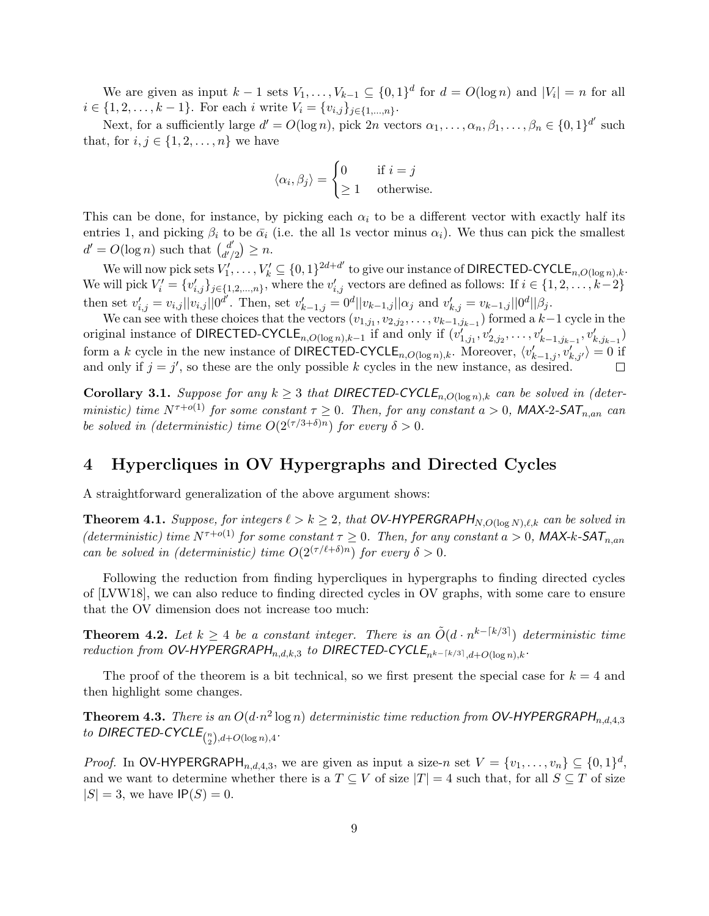We are given as input  $k-1$  sets  $V_1, \ldots, V_{k-1} \subseteq \{0,1\}^d$  for  $d = O(\log n)$  and  $|V_i| = n$  for all  $i \in \{1, 2, \ldots, k-1\}$ . For each i write  $V_i = \{v_{i,j}\}_{j \in \{1, \ldots, n\}}$ .

Next, for a sufficiently large  $d' = O(\log n)$ , pick  $2n$  vectors  $\alpha_1, \ldots, \alpha_n, \beta_1, \ldots, \beta_n \in \{0, 1\}^{d'}$  such that, for  $i, j \in \{1, 2, \ldots, n\}$  we have

$$
\langle \alpha_i, \beta_j \rangle = \begin{cases} 0 & \text{if } i = j \\ \ge 1 & \text{otherwise.} \end{cases}
$$

This can be done, for instance, by picking each  $\alpha_i$  to be a different vector with exactly half its entries 1, and picking  $\beta_i$  to be  $\bar{\alpha}_i$  (i.e. the all 1s vector minus  $\alpha_i$ ). We thus can pick the smallest  $d' = O(\log n)$  such that  $\begin{pmatrix} d' \\ d' \end{pmatrix}$  $\binom{d'}{d'/2} \geq n.$ 

We will now pick sets  $V'_1, \ldots, V'_k \subseteq \{0,1\}^{2d+d'}$  to give our instance of DIRECTED-CYCLE<sub>n,O(log n),k</sub>. We will pick  $V_i' = \{v'_{i,j}\}_{j \in \{1,2,\ldots,n\}}$ , where the  $v'_{i,j}$  vectors are defined as follows: If  $i \in \{1,2,\ldots,k-2\}$ then set  $v'_{i,j} = v_{i,j} || v_{i,j} || 0^{d'}$ . Then, set  $v'_{k-1,j} = 0^d || v_{k-1,j} || \alpha_j$  and  $v'_{k,j} = v_{k-1,j} || 0^d || \beta_j$ .

We can see with these choices that the vectors  $(v_{1,j_1}, v_{2,j_2}, \ldots, v_{k-1,j_{k-1}})$  formed a  $k-1$  cycle in the original instance of DIRECTED-CYCLE<sub>n,O(log n),k−1</sub> if and only if  $(v'_{1,j_1}, v'_{2,j_2}, \ldots, v'_{k-1,j_{k-1}}, v'_{k,j_{k-1}})$ form a k cycle in the new instance of DIRECTED-CYCLE<sub>n,O(log n),k</sub>. Moreover,  $\langle v'_{k-1,j}, v'_{k,j'}\rangle = 0$  if and only if  $j = j'$ , so these are the only possible k cycles in the new instance, as desired.  $\Box$ 

Corollary 3.1. Suppose for any  $k \geq 3$  that DIRECTED-CYCLE<sub>n,O(logn),k</sub> can be solved in (deterministic) time  $N^{\tau+o(1)}$  for some constant  $\tau \geq 0$ . Then, for any constant  $a > 0$ , MAX-2-SAT<sub>n,an</sub> can be solved in (deterministic) time  $O(2^{(\tau/3+\delta)n})$  for every  $\delta > 0$ .

### 4 Hypercliques in OV Hypergraphs and Directed Cycles

A straightforward generalization of the above argument shows:

**Theorem 4.1.** Suppose, for integers  $\ell > k \geq 2$ , that OV-HYPERGRAPH<sub>N,O(log N), $\ell, k$  can be solved in</sub> (deterministic) time  $N^{\tau+o(1)}$  for some constant  $\tau \geq 0$ . Then, for any constant  $a > 0$ , MAX-k-SAT<sub>n,an</sub> can be solved in (deterministic) time  $O(2^{(\tau/\ell+\delta)n})$  for every  $\delta > 0$ .

Following the reduction from finding hypercliques in hypergraphs to finding directed cycles of [LVW18], we can also reduce to finding directed cycles in OV graphs, with some care to ensure that the OV dimension does not increase too much:

**Theorem 4.2.** Let  $k \geq 4$  be a constant integer. There is an  $\tilde{O}(d \cdot n^{k-[k/3]})$  deterministic time reduction from OV-HYPERGRAPH<sub>n,d,k,3</sub> to DIRECTED-CYCLE<sub>nk-[k/3]</sup>,d+O(log n),k<sup>.</sup></sub>

The proof of the theorem is a bit technical, so we first present the special case for  $k = 4$  and then highlight some changes.

**Theorem 4.3.** There is an  $O(d \cdot n^2 \log n)$  deterministic time reduction from OV-HYPERGRAPH<sub>n,d,4,3</sub> to DIRECTED-CYCLE $_{\binom{n}{2},d+O(\log n),4}.$ 

*Proof.* In OV-HYPERGRAPH<sub>n,d,d,3</sub>, we are given as input a size-n set  $V = \{v_1, \ldots, v_n\} \subseteq \{0, 1\}^d$ , and we want to determine whether there is a  $T \subseteq V$  of size  $|T| = 4$  such that, for all  $S \subseteq T$  of size  $|S| = 3$ , we have  $IP(S) = 0$ .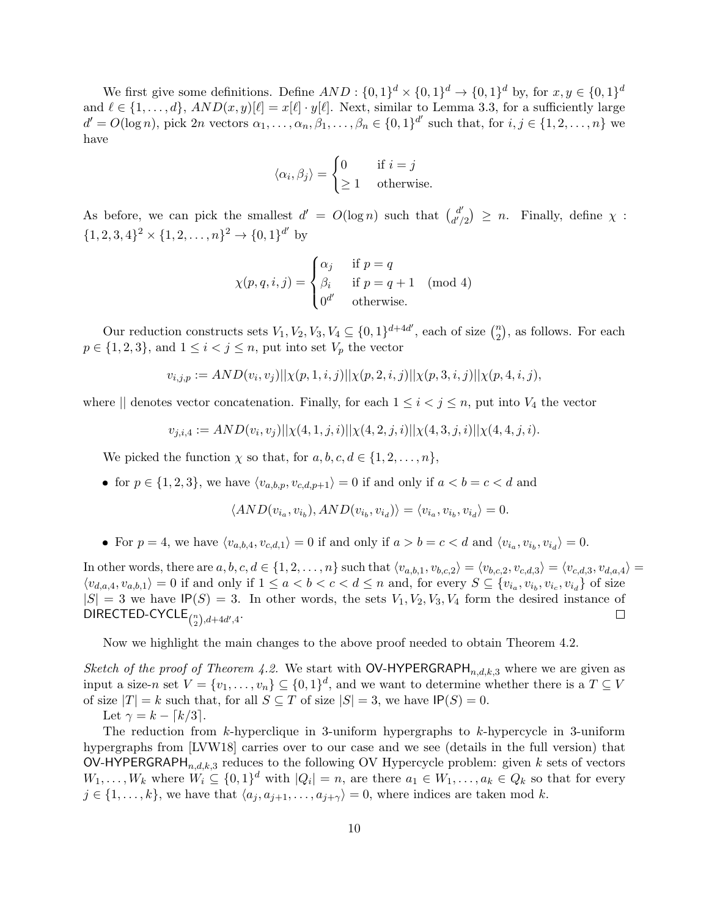We first give some definitions. Define  $AND: \{0,1\}^d \times \{0,1\}^d \rightarrow \{0,1\}^d$  by, for  $x, y \in \{0,1\}^d$ and  $\ell \in \{1, ..., d\}$ ,  $AND(x, y)[\ell] = x[\ell] \cdot y[\ell]$ . Next, similar to Lemma 3.3, for a sufficiently large  $d' = O(\log n)$ , pick  $2n$  vectors  $\alpha_1, \ldots, \alpha_n, \beta_1, \ldots, \beta_n \in \{0, 1\}^{d'}$  such that, for  $i, j \in \{1, 2, \ldots, n\}$  we have

$$
\langle \alpha_i, \beta_j \rangle = \begin{cases} 0 & \text{if } i = j \\ \ge 1 & \text{otherwise.} \end{cases}
$$

As before, we can pick the smallest  $d' = O(\log n)$  such that  $\begin{pmatrix} d' \\ d' \end{pmatrix}$  $\begin{cases} d' \ d'/2 \end{cases} \geq n.$  Finally, define  $\chi$ :  $\{1, 2, 3, 4\}^2 \times \{1, 2, ..., n\}^2 \rightarrow \{0, 1\}^{d'}$  by

$$
\chi(p,q,i,j) = \begin{cases} \alpha_j & \text{if } p = q \\ \beta_i & \text{if } p = q + 1 \pmod{4} \\ 0^{d'} & \text{otherwise.} \end{cases}
$$

Our reduction constructs sets  $V_1, V_2, V_3, V_4 \subseteq \{0, 1\}^{d+4d'}$ , each of size  $\binom{n}{2}$  $n \choose 2$ , as follows. For each  $p \in \{1, 2, 3\}$ , and  $1 \leq i < j \leq n$ , put into set  $V_p$  the vector

$$
v_{i,j,p} := AND(v_i, v_j) || \chi(p, 1, i, j) || \chi(p, 2, i, j) || \chi(p, 3, i, j) || \chi(p, 4, i, j),
$$

where  $\parallel$  denotes vector concatenation. Finally, for each  $1 \leq i \leq j \leq n$ , put into  $V_4$  the vector

$$
v_{j,i,4} := AND(v_i, v_j) || \chi(4,1,j,i) || \chi(4,2,j,i) || \chi(4,3,j,i) || \chi(4,4,j,i).
$$

We picked the function  $\chi$  so that, for  $a, b, c, d \in \{1, 2, ..., n\}$ ,

• for  $p \in \{1, 2, 3\}$ , we have  $\langle v_{a,b,p}, v_{c,d,p+1} \rangle = 0$  if and only if  $a < b = c < d$  and

$$
\langle AND(v_{i_a}, v_{i_b}), AND(v_{i_b}, v_{i_d}) \rangle = \langle v_{i_a}, v_{i_b}, v_{i_d} \rangle = 0.
$$

• For  $p = 4$ , we have  $\langle v_{a,b,4}, v_{c,d,1} \rangle = 0$  if and only if  $a > b = c < d$  and  $\langle v_{i_a}, v_{i_b}, v_{i_d} \rangle = 0$ .

In other words, there are  $a, b, c, d \in \{1, 2, \ldots, n\}$  such that  $\langle v_{a,b,1}, v_{b,c,2} \rangle = \langle v_{b,c,2}, v_{c,d,3} \rangle = \langle v_{c,d,3}, v_{d,a,4} \rangle =$  $\langle v_{d,a,4}, v_{a,b,1} \rangle = 0$  if and only if  $1 \le a < b < c < d \le n$  and, for every  $S \subseteq \{v_{i_a}, v_{i_b}, v_{i_c}, v_{i_d}\}$  of size  $|S| = 3$  we have  $IP(S) = 3$ . In other words, the sets  $V_1, V_2, V_3, V_4$  form the desired instance of  $\mathsf{DIRECTED\text{-}CYCLE}_{\binom{n}{2},d+4d',4}.$  $\Box$ 

Now we highlight the main changes to the above proof needed to obtain Theorem 4.2.

Sketch of the proof of Theorem 4.2. We start with  $\mathsf{OV}\text{-}\mathsf{HYPERGRAPH}_{n,d,k,3}$  where we are given as input a size-n set  $V = \{v_1, \ldots, v_n\} \subseteq \{0, 1\}^d$ , and we want to determine whether there is a  $T \subseteq V$ of size  $|T| = k$  such that, for all  $S \subseteq T$  of size  $|S| = 3$ , we have  $IP(S) = 0$ .

Let  $\gamma = k - \lceil k/3 \rceil$ .

The reduction from  $k$ -hyperclique in 3-uniform hypergraphs to  $k$ -hypercycle in 3-uniform hypergraphs from [LVW18] carries over to our case and we see (details in the full version) that OV-HYPERGRAPH<sub>n,d,k,3</sub> reduces to the following OV Hypercycle problem: given k sets of vectors  $W_1, \ldots, W_k$  where  $W_i \subseteq \{0,1\}^d$  with  $|Q_i| = n$ , are there  $a_1 \in W_1, \ldots, a_k \in Q_k$  so that for every  $j \in \{1, \ldots, k\}$ , we have that  $\langle a_j, a_{j+1}, \ldots, a_{j+\gamma} \rangle = 0$ , where indices are taken mod k.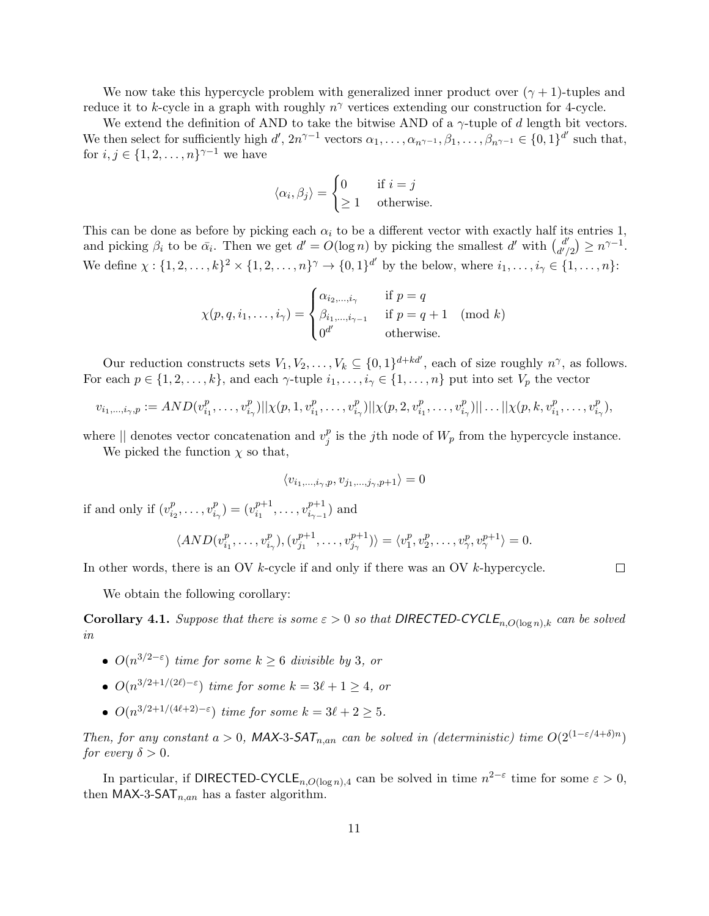We now take this hypercycle problem with generalized inner product over  $(\gamma + 1)$ -tuples and reduce it to k-cycle in a graph with roughly  $n^{\gamma}$  vertices extending our construction for 4-cycle.

We extend the definition of AND to take the bitwise AND of a  $\gamma$ -tuple of d length bit vectors. We then select for sufficiently high  $d'$ ,  $2n^{\gamma-1}$  vectors  $\alpha_1, \ldots, \alpha_{n^{\gamma-1}}, \beta_1, \ldots, \beta_{n^{\gamma-1}} \in \{0, 1\}^{d'}$  such that, for  $i, j \in \{1, 2, \ldots, n\}^{\gamma-1}$  we have

$$
\langle \alpha_i, \beta_j \rangle = \begin{cases} 0 & \text{if } i = j \\ \ge 1 & \text{otherwise.} \end{cases}
$$

This can be done as before by picking each  $\alpha_i$  to be a different vector with exactly half its entries 1, and picking  $\beta_i$  to be  $\bar{\alpha_i}$ . Then we get  $d' = O(\log n)$  by picking the smallest d' with  $\begin{pmatrix} d' \\ d' \end{pmatrix}$  $\binom{d'}{d'/2} \geq n^{\gamma-1}.$ We define  $\chi: \{1, 2, ..., k\}^2 \times \{1, 2, ..., n\}^{\gamma} \to \{0, 1\}^{d'}$  by the below, where  $i_1, ..., i_{\gamma} \in \{1, ..., n\}$ :

$$
\chi(p,q,i_1,\ldots,i_\gamma) = \begin{cases} \alpha_{i_2,\ldots,i_\gamma} & \text{if } p=q\\ \beta_{i_1,\ldots,i_{\gamma-1}} & \text{if } p=q+1 \pmod{k} \\ 0^{d'} & \text{otherwise.} \end{cases}
$$

Our reduction constructs sets  $V_1, V_2, \ldots, V_k \subseteq \{0,1\}^{d+kd'}$ , each of size roughly  $n^{\gamma}$ , as follows. For each  $p \in \{1, 2, \ldots, k\}$ , and each  $\gamma$ -tuple  $i_1, \ldots, i_\gamma \in \{1, \ldots, n\}$  put into set  $V_p$  the vector

$$
v_{i_1,\dots,i_{\gamma},p} := AND(v_{i_1}^p,\dots,v_{i_{\gamma}}^p)||\chi(p,1,v_{i_1}^p,\dots,v_{i_{\gamma}}^p)||\chi(p,2,v_{i_1}^p,\dots,v_{i_{\gamma}}^p)||\dots||\chi(p,k,v_{i_1}^p,\dots,v_{i_{\gamma}}^p),
$$

where  $\parallel$  denotes vector concatenation and  $v_i^p$  $_j^p$  is the j<sup>th</sup> node of  $W_p$  from the hypercycle instance.

We picked the function  $\chi$  so that,

$$
\langle v_{i_1,\dots,i_{\gamma},p}, v_{j_1,\dots,j_{\gamma},p+1}\rangle = 0
$$

if and only if  $(v_i^p)$  $i_2^p, \ldots, v_i^p$  $\binom{p}{i_{\gamma}} = (v_{i_1}^{p+1})$  $v_{i_1}^{p+1}, \ldots, v_{i_{\gamma-1}}^{p+1}$  $i_{\gamma-1}^{p+1}$ ) and

$$
\langle AND(v_{i_1}^p, \ldots, v_{i_{\gamma}}^p), (v_{j_1}^{p+1}, \ldots, v_{j_{\gamma}}^{p+1}) \rangle = \langle v_1^p, v_2^p, \ldots, v_{\gamma}^p, v_{\gamma}^{p+1} \rangle = 0.
$$

In other words, there is an OV k-cycle if and only if there was an OV k-hypercycle.

 $\Box$ 

We obtain the following corollary:

**Corollary 4.1.** Suppose that there is some  $\varepsilon > 0$  so that DIRECTED-CYCLE<sub>n,O(logn),k</sub> can be solved in

- $O(n^{3/2-\epsilon})$  time for some  $k \geq 6$  divisible by 3, or
- $O(n^{3/2+1/(2\ell)-\varepsilon})$  time for some  $k = 3\ell + 1 \geq 4$ , or
- $O(n^{3/2+1/(4\ell+2)-\varepsilon})$  time for some  $k = 3\ell + 2 \geq 5$ .

Then, for any constant  $a > 0$ , MAX-3-SAT<sub>n,an</sub> can be solved in (deterministic) time  $O(2^{(1-\epsilon/4+\delta)n})$ for every  $\delta > 0$ .

In particular, if DIRECTED-CYCLE<sub>n,O(log n),4</sub> can be solved in time  $n^{2-\epsilon}$  time for some  $\varepsilon > 0$ , then MAX-3-SAT $_{n,an}$  has a faster algorithm.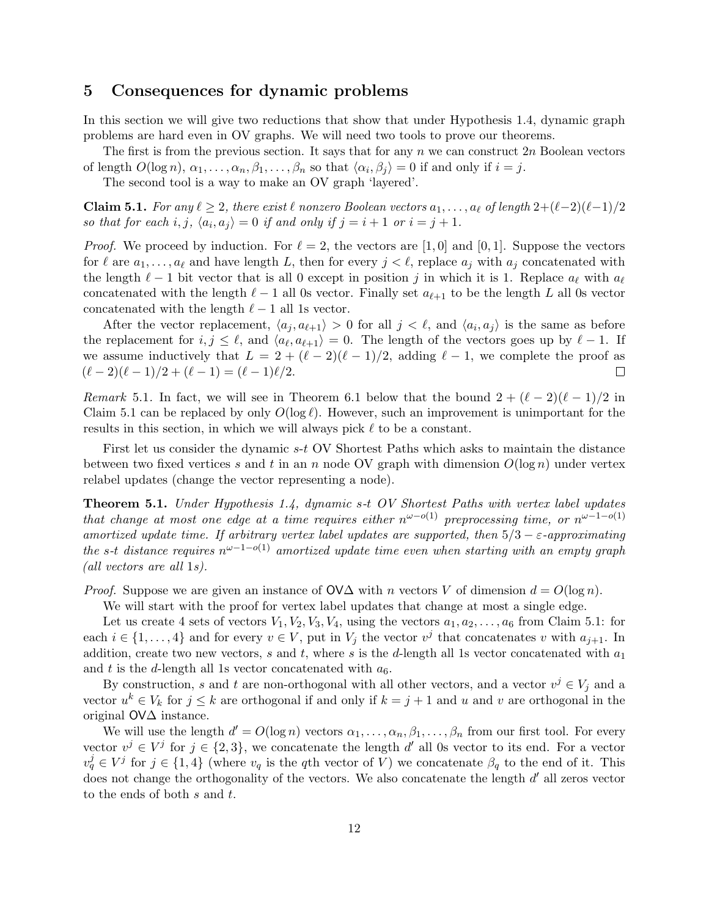### 5 Consequences for dynamic problems

In this section we will give two reductions that show that under Hypothesis 1.4, dynamic graph problems are hard even in OV graphs. We will need two tools to prove our theorems.

The first is from the previous section. It says that for any n we can construct  $2n$  Boolean vectors of length  $O(\log n)$ ,  $\alpha_1, \ldots, \alpha_n, \beta_1, \ldots, \beta_n$  so that  $\langle \alpha_i, \beta_j \rangle = 0$  if and only if  $i = j$ .

The second tool is a way to make an OV graph 'layered'.

Claim 5.1. For any  $\ell \geq 2$ , there exist  $\ell$  nonzero Boolean vectors  $a_1, \ldots, a_\ell$  of length  $2+(\ell-2)(\ell-1)/2$ so that for each i, j,  $\langle a_i, a_j \rangle = 0$  if and only if  $j = i + 1$  or  $i = j + 1$ .

*Proof.* We proceed by induction. For  $\ell = 2$ , the vectors are [1,0] and [0,1]. Suppose the vectors for  $\ell$  are  $a_1, \ldots, a_\ell$  and have length L, then for every  $j < \ell$ , replace  $a_j$  with  $a_j$  concatenated with the length  $\ell - 1$  bit vector that is all 0 except in position j in which it is 1. Replace  $a_{\ell}$  with  $a_{\ell}$ concatenated with the length  $\ell - 1$  all 0s vector. Finally set  $a_{\ell+1}$  to be the length L all 0s vector concatenated with the length  $\ell - 1$  all 1s vector.

After the vector replacement,  $\langle a_j, a_{\ell+1} \rangle > 0$  for all  $j < \ell$ , and  $\langle a_i, a_j \rangle$  is the same as before the replacement for  $i, j \leq \ell$ , and  $\langle a_{\ell}, a_{\ell+1} \rangle = 0$ . The length of the vectors goes up by  $\ell - 1$ . If we assume inductively that  $L = 2 + (\ell - 2)(\ell - 1)/2$ , adding  $\ell - 1$ , we complete the proof as  $(\ell - 2)(\ell - 1)/2 + (\ell - 1) = (\ell - 1)\ell/2.$  $\Box$ 

Remark 5.1. In fact, we will see in Theorem 6.1 below that the bound  $2 + (\ell - 2)(\ell - 1)/2$  in Claim 5.1 can be replaced by only  $O(\log \ell)$ . However, such an improvement is unimportant for the results in this section, in which we will always pick  $\ell$  to be a constant.

First let us consider the dynamic s-t OV Shortest Paths which asks to maintain the distance between two fixed vertices s and t in an n node OV graph with dimension  $O(\log n)$  under vertex relabel updates (change the vector representing a node).

Theorem 5.1. Under Hypothesis 1.4, dynamic s-t OV Shortest Paths with vertex label updates that change at most one edge at a time requires either  $n^{\omega-o(1)}$  preprocessing time, or  $n^{\omega-1-o(1)}$ amortized update time. If arbitrary vertex label updates are supported, then  $5/3 - \varepsilon$ -approximating the s-t distance requires  $n^{\omega-1-o(1)}$  amortized update time even when starting with an empty graph (all vectors are all 1s).

*Proof.* Suppose we are given an instance of  $\mathsf{OVA}$  with n vectors V of dimension  $d = O(\log n)$ .

We will start with the proof for vertex label updates that change at most a single edge.

Let us create 4 sets of vectors  $V_1, V_2, V_3, V_4$ , using the vectors  $a_1, a_2, \ldots, a_6$  from Claim 5.1: for each  $i \in \{1, \ldots, 4\}$  and for every  $v \in V$ , put in  $V_j$  the vector  $v^j$  that concatenates v with  $a_{j+1}$ . In addition, create two new vectors, s and t, where s is the d-length all 1s vector concatenated with  $a_1$ and t is the d-length all 1s vector concatenated with  $a_6$ .

By construction, s and t are non-orthogonal with all other vectors, and a vector  $v^j \in V_j$  and a vector  $u^k \in V_k$  for  $j \leq k$  are orthogonal if and only if  $k = j + 1$  and u and v are orthogonal in the original OV∆ instance.

We will use the length  $d' = O(\log n)$  vectors  $\alpha_1, \ldots, \alpha_n, \beta_1, \ldots, \beta_n$  from our first tool. For every vector  $v^j \in V^j$  for  $j \in \{2,3\}$ , we concatenate the length d' all 0s vector to its end. For a vector  $v_q^j \in V^j$  for  $j \in \{1,4\}$  (where  $v_q$  is the qth vector of V) we concatenate  $\beta_q$  to the end of it. This does not change the orthogonality of the vectors. We also concatenate the length  $d'$  all zeros vector to the ends of both s and t.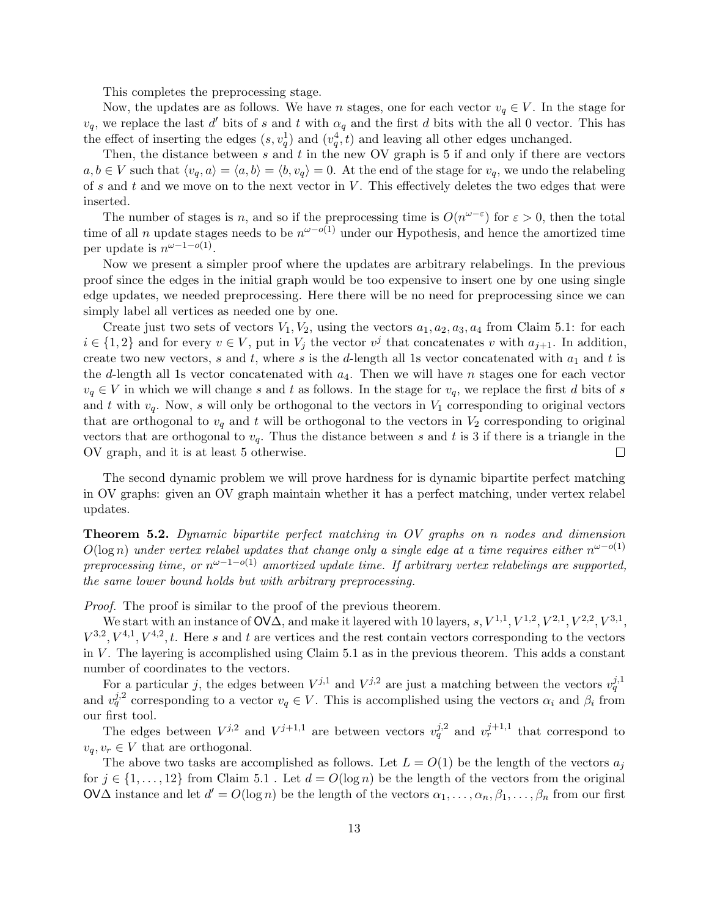This completes the preprocessing stage.

Now, the updates are as follows. We have n stages, one for each vector  $v_q \in V$ . In the stage for  $v_q$ , we replace the last d' bits of s and t with  $\alpha_q$  and the first d bits with the all 0 vector. This has the effect of inserting the edges  $(s, v_q^1)$  and  $(v_q^4, t)$  and leaving all other edges unchanged.

Then, the distance between  $s$  and  $t$  in the new OV graph is 5 if and only if there are vectors  $a, b \in V$  such that  $\langle v_q, a \rangle = \langle a, b \rangle = \langle b, v_q \rangle = 0$ . At the end of the stage for  $v_q$ , we undo the relabeling of s and t and we move on to the next vector in  $V$ . This effectively deletes the two edges that were inserted.

The number of stages is n, and so if the preprocessing time is  $O(n^{\omega-\varepsilon})$  for  $\varepsilon > 0$ , then the total time of all n update stages needs to be  $n^{\omega-o(1)}$  under our Hypothesis, and hence the amortized time per update is  $n^{\omega-1-o(1)}$ .

Now we present a simpler proof where the updates are arbitrary relabelings. In the previous proof since the edges in the initial graph would be too expensive to insert one by one using single edge updates, we needed preprocessing. Here there will be no need for preprocessing since we can simply label all vertices as needed one by one.

Create just two sets of vectors  $V_1, V_2$ , using the vectors  $a_1, a_2, a_3, a_4$  from Claim 5.1: for each  $i \in \{1,2\}$  and for every  $v \in V$ , put in  $V_j$  the vector  $v^j$  that concatenates v with  $a_{j+1}$ . In addition, create two new vectors, s and t, where s is the d-length all 1s vector concatenated with  $a_1$  and t is the d-length all 1s vector concatenated with  $a_4$ . Then we will have n stages one for each vector  $v_q \in V$  in which we will change s and t as follows. In the stage for  $v_q$ , we replace the first d bits of s and t with  $v_q$ . Now, s will only be orthogonal to the vectors in  $V_1$  corresponding to original vectors that are orthogonal to  $v_q$  and t will be orthogonal to the vectors in  $V_2$  corresponding to original vectors that are orthogonal to  $v_q$ . Thus the distance between s and t is 3 if there is a triangle in the OV graph, and it is at least 5 otherwise.  $\Box$ 

The second dynamic problem we will prove hardness for is dynamic bipartite perfect matching in OV graphs: given an OV graph maintain whether it has a perfect matching, under vertex relabel updates.

Theorem 5.2. Dynamic bipartite perfect matching in OV graphs on n nodes and dimension  $O(\log n)$  under vertex relabel updates that change only a single edge at a time requires either  $n^{\omega-o(1)}$ preprocessing time, or  $n^{\omega-1-o(1)}$  amortized update time. If arbitrary vertex relabelings are supported, the same lower bound holds but with arbitrary preprocessing.

Proof. The proof is similar to the proof of the previous theorem.

We start with an instance of  $\mathsf{O}\mathsf{V}\Delta$ , and make it layered with 10 layers,  $s, V^{1,1}, V^{1,2}, V^{2,1}, V^{2,2}, V^{3,1},$  $V^{3,2}, V^{4,1}, V^{4,2}, t$ . Here s and t are vertices and the rest contain vectors corresponding to the vectors in  $V$ . The layering is accomplished using Claim 5.1 as in the previous theorem. This adds a constant number of coordinates to the vectors.

For a particular j, the edges between  $V^{j,1}$  and  $V^{j,2}$  are just a matching between the vectors  $v_q^{j,1}$ and  $v_q^{j,2}$  corresponding to a vector  $v_q \in V$ . This is accomplished using the vectors  $\alpha_i$  and  $\beta_i$  from our first tool.

The edges between  $V^{j,2}$  and  $V^{j+1,1}$  are between vectors  $v_q^{j,2}$  and  $v_r^{j+1,1}$  that correspond to  $v_a, v_r \in V$  that are orthogonal.

The above two tasks are accomplished as follows. Let  $L = O(1)$  be the length of the vectors  $a_j$ for  $j \in \{1, \ldots, 12\}$  from Claim 5.1. Let  $d = O(\log n)$  be the length of the vectors from the original OV $\Delta$  instance and let  $d' = O(\log n)$  be the length of the vectors  $\alpha_1, \ldots, \alpha_n, \beta_1, \ldots, \beta_n$  from our first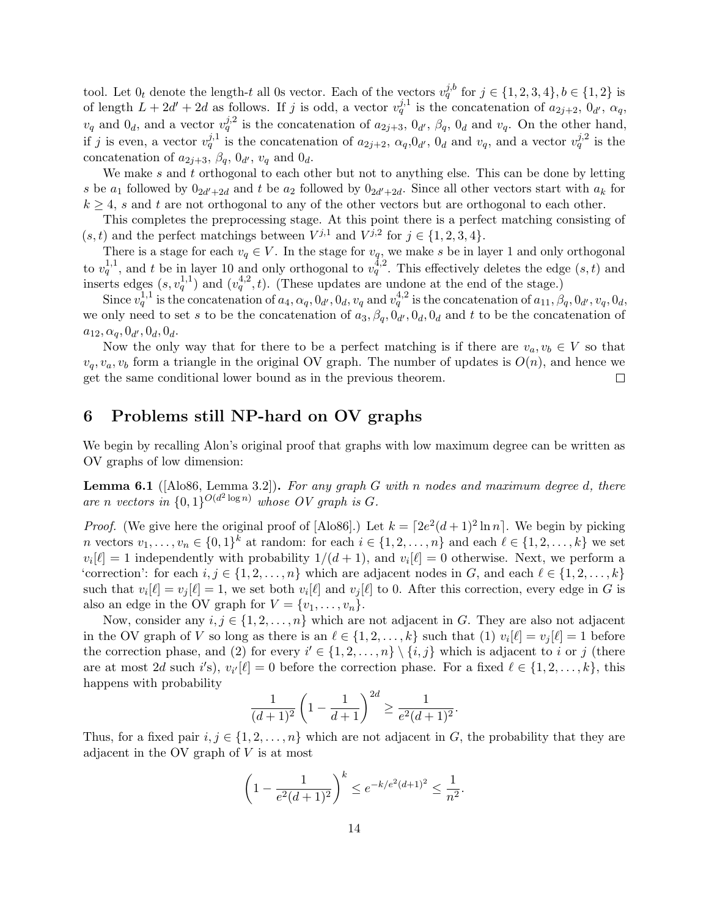tool. Let  $0_t$  denote the length-t all 0s vector. Each of the vectors  $v_q^{j,b}$  for  $j \in \{1,2,3,4\}, b \in \{1,2\}$  is of length  $L + 2d' + 2d$  as follows. If j is odd, a vector  $v_q^{j,1}$  is the concatenation of  $a_{2j+2}, 0_{d'}, \alpha_q$ ,  $v_q$  and  $0_d$ , and a vector  $v_q^{j,2}$  is the concatenation of  $a_{2j+3}$ ,  $0_{d'}$ ,  $\beta_q$ ,  $0_d$  and  $v_q$ . On the other hand, if j is even, a vector  $v_q^{j,1}$  is the concatenation of  $a_{2j+2}, a_q, 0_{d'}, 0_d$  and  $v_q$ , and a vector  $v_q^{j,2}$  is the concatenation of  $a_{2j+3}$ ,  $\beta_q$ ,  $0_{d'}$ ,  $v_q$  and  $0_d$ .

We make  $s$  and  $t$  orthogonal to each other but not to anything else. This can be done by letting s be  $a_1$  followed by  $0_{2d'+2d}$  and t be  $a_2$  followed by  $0_{2d'+2d}$ . Since all other vectors start with  $a_k$  for  $k \geq 4$ , s and t are not orthogonal to any of the other vectors but are orthogonal to each other.

This completes the preprocessing stage. At this point there is a perfect matching consisting of  $(s, t)$  and the perfect matchings between  $V^{j,1}$  and  $V^{j,2}$  for  $j \in \{1, 2, 3, 4\}.$ 

There is a stage for each  $v_q \in V$ . In the stage for  $v_q$ , we make s be in layer 1 and only orthogonal to  $v_q^{1,1}$ , and t be in layer 10 and only orthogonal to  $v_q^{4,2}$ . This effectively deletes the edge  $(s, t)$  and inserts edges  $(s, v_q^{1,1})$  and  $(v_q^{4,2}, t)$ . (These updates are undone at the end of the stage.)

Since  $v_q^{1,1}$  is the concatenation of  $a_4, \alpha_q, 0_d, 0_d, v_q$  and  $v_q^{4,2}$  is the concatenation of  $a_{11}, \beta_q, 0_{d'}, v_q, 0_d$ , we only need to set s to be the concatenation of  $a_3, \beta_q, 0_{d'}, 0_d, 0_d$  and t to be the concatenation of  $a_{12}, a_q, 0_{d'}, 0_d, 0_d.$ 

Now the only way that for there to be a perfect matching is if there are  $v_a, v_b \in V$  so that  $v_q, v_a, v_b$  form a triangle in the original OV graph. The number of updates is  $O(n)$ , and hence we get the same conditional lower bound as in the previous theorem.  $\Box$ 

### 6 Problems still NP-hard on OV graphs

We begin by recalling Alon's original proof that graphs with low maximum degree can be written as OV graphs of low dimension:

**Lemma 6.1** ( $[A \text{lo86}, \text{Lemma 3.2}]$ ). For any graph G with n nodes and maximum degree d, there are n vectors in  $\{0,1\}^{O(d^2 \log n)}$  whose OV graph is G.

*Proof.* (We give here the original proof of [Alo86].) Let  $k = [2e^2(d+1)^2 \ln n]$ . We begin by picking *n* vectors  $v_1, \ldots, v_n \in \{0,1\}^k$  at random: for each  $i \in \{1, 2, \ldots, n\}$  and each  $\ell \in \{1, 2, \ldots, k\}$  we set  $v_i[\ell] = 1$  independently with probability  $1/(d+1)$ , and  $v_i[\ell] = 0$  otherwise. Next, we perform a 'correction': for each  $i, j \in \{1, 2, \ldots, n\}$  which are adjacent nodes in G, and each  $\ell \in \{1, 2, \ldots, k\}$ such that  $v_i[\ell] = v_j[\ell] = 1$ , we set both  $v_i[\ell]$  and  $v_j[\ell]$  to 0. After this correction, every edge in G is also an edge in the OV graph for  $V = \{v_1, \ldots, v_n\}$ .

Now, consider any  $i, j \in \{1, 2, ..., n\}$  which are not adjacent in G. They are also not adjacent in the OV graph of V so long as there is an  $\ell \in \{1, 2, \ldots, k\}$  such that  $(1)$   $v_i[\ell] = v_j[\ell] = 1$  before the correction phase, and (2) for every  $i' \in \{1, 2, ..., n\} \setminus \{i, j\}$  which is adjacent to i or j (there are at most 2d such i's),  $v_{i'}[\ell] = 0$  before the correction phase. For a fixed  $\ell \in \{1, 2, ..., k\}$ , this happens with probability

$$
\frac{1}{(d+1)^2} \left(1 - \frac{1}{d+1}\right)^{2d} \ge \frac{1}{e^2(d+1)^2}.
$$

Thus, for a fixed pair  $i, j \in \{1, 2, ..., n\}$  which are not adjacent in G, the probability that they are adjacent in the OV graph of  $V$  is at most

$$
\left(1 - \frac{1}{e^2(d+1)^2}\right)^k \le e^{-k/e^2(d+1)^2} \le \frac{1}{n^2}.
$$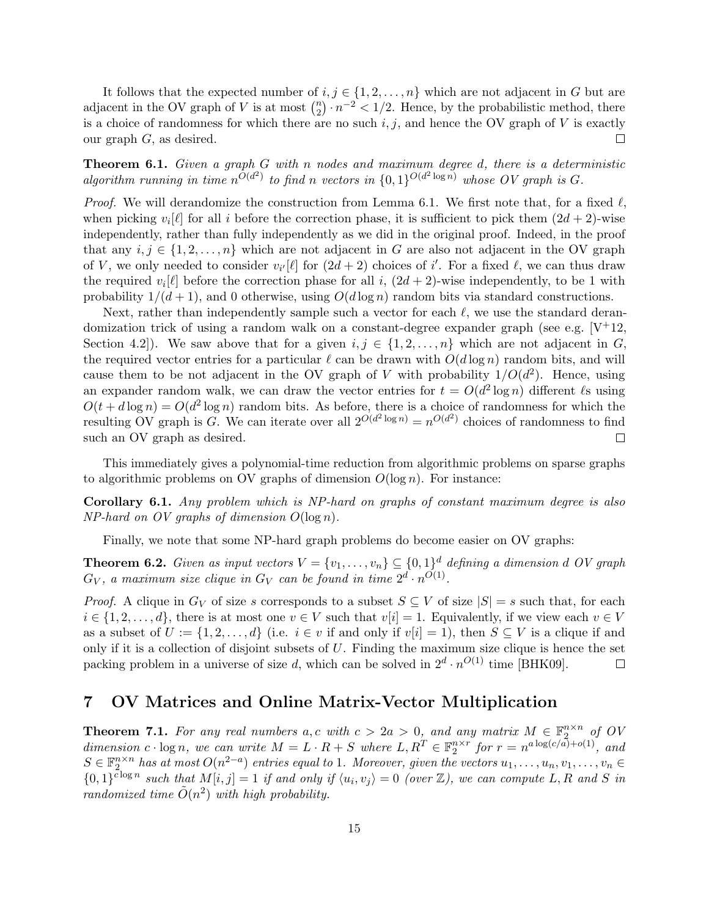It follows that the expected number of  $i, j \in \{1, 2, ..., n\}$  which are not adjacent in G but are adjacent in the OV graph of V is at most  $\binom{n}{2}$  $n<sub>2</sub>$ )  $\cdot n<sup>-2</sup> < 1/2$ . Hence, by the probabilistic method, there is a choice of randomness for which there are no such  $i, j$ , and hence the OV graph of V is exactly our graph  $G$ , as desired.  $\Box$ 

Theorem 6.1. Given a graph G with n nodes and maximum degree d, there is a deterministic algorithm running in time  $n^{\bar{O}(d^2)}$  to find n vectors in  $\{0,1\}^{\bar{O}(d^2 \log n)}$  whose OV graph is G.

*Proof.* We will derandomize the construction from Lemma 6.1. We first note that, for a fixed  $\ell$ , when picking  $v_i[\ell]$  for all i before the correction phase, it is sufficient to pick them  $(2d + 2)$ -wise independently, rather than fully independently as we did in the original proof. Indeed, in the proof that any  $i, j \in \{1, 2, \ldots, n\}$  which are not adjacent in G are also not adjacent in the OV graph of V, we only needed to consider  $v_{i'}[\ell]$  for  $(2d + 2)$  choices of i'. For a fixed  $\ell$ , we can thus draw the required  $v_i[\ell]$  before the correction phase for all i,  $(2d + 2)$ -wise independently, to be 1 with probability  $1/(d+1)$ , and 0 otherwise, using  $O(d \log n)$  random bits via standard constructions.

Next, rather than independently sample such a vector for each  $\ell$ , we use the standard derandomization trick of using a random walk on a constant-degree expander graph (see e.g.  $[V^+12]$ , Section 4.2]). We saw above that for a given  $i, j \in \{1, 2, ..., n\}$  which are not adjacent in G, the required vector entries for a particular  $\ell$  can be drawn with  $O(d \log n)$  random bits, and will cause them to be not adjacent in the OV graph of V with probability  $1/O(d^2)$ . Hence, using an expander random walk, we can draw the vector entries for  $t = O(d^2 \log n)$  different  $\ell$ s using  $O(t+d\log n) = O(d^2\log n)$  random bits. As before, there is a choice of randomness for which the resulting OV graph is G. We can iterate over all  $2^{O(d^2 \log n)} = n^{O(d^2)}$  choices of randomness to find such an OV graph as desired.  $\Box$ 

This immediately gives a polynomial-time reduction from algorithmic problems on sparse graphs to algorithmic problems on OV graphs of dimension  $O(\log n)$ . For instance:

Corollary 6.1. Any problem which is NP-hard on graphs of constant maximum degree is also  $NP$ -hard on OV graphs of dimension  $O(\log n)$ .

Finally, we note that some NP-hard graph problems do become easier on OV graphs:

**Theorem 6.2.** Given as input vectors  $V = \{v_1, \ldots, v_n\} \subseteq \{0,1\}^d$  defining a dimension d OV graph  $G_V$ , a maximum size clique in  $G_V$  can be found in time  $2^d \cdot n^{O(1)}$ .

*Proof.* A clique in  $G_V$  of size s corresponds to a subset  $S \subseteq V$  of size  $|S| = s$  such that, for each  $i \in \{1, 2, \ldots, d\}$ , there is at most one  $v \in V$  such that  $v[i] = 1$ . Equivalently, if we view each  $v \in V$ as a subset of  $U := \{1, 2, \ldots, d\}$  (i.e.  $i \in v$  if and only if  $v[i] = 1$ ), then  $S \subseteq V$  is a clique if and only if it is a collection of disjoint subsets of  $U$ . Finding the maximum size clique is hence the set packing problem in a universe of size d, which can be solved in  $2^d \cdot n^{O(1)}$  time [BHK09].  $\Box$ 

### 7 OV Matrices and Online Matrix-Vector Multiplication

**Theorem 7.1.** For any real numbers a,c with  $c > 2a > 0$ , and any matrix  $M \in \mathbb{F}_2^{n \times n}$  of OV dimension  $c \cdot \log n$ , we can write  $M = L \cdot R + S$  where  $L, R^T \in \mathbb{F}_2^{n \times r}$  for  $r = n^{a \log(c/a) + o(1)}$ , and  $S \in \mathbb{F}_2^{n \times n}$  has at most  $O(n^{2-a})$  entries equal to 1. Moreover, given the vectors  $u_1, \ldots, u_n, v_1, \ldots, v_n \in$  ${0,1}^{\overline{c}\log n}$  such that  $M[i,j]=1$  if and only if  $\langle u_i, v_j \rangle = 0$  (over  $\mathbb{Z}$ ), we can compute L, R and S in randomized time  $\tilde{O}(n^2)$  with high probability.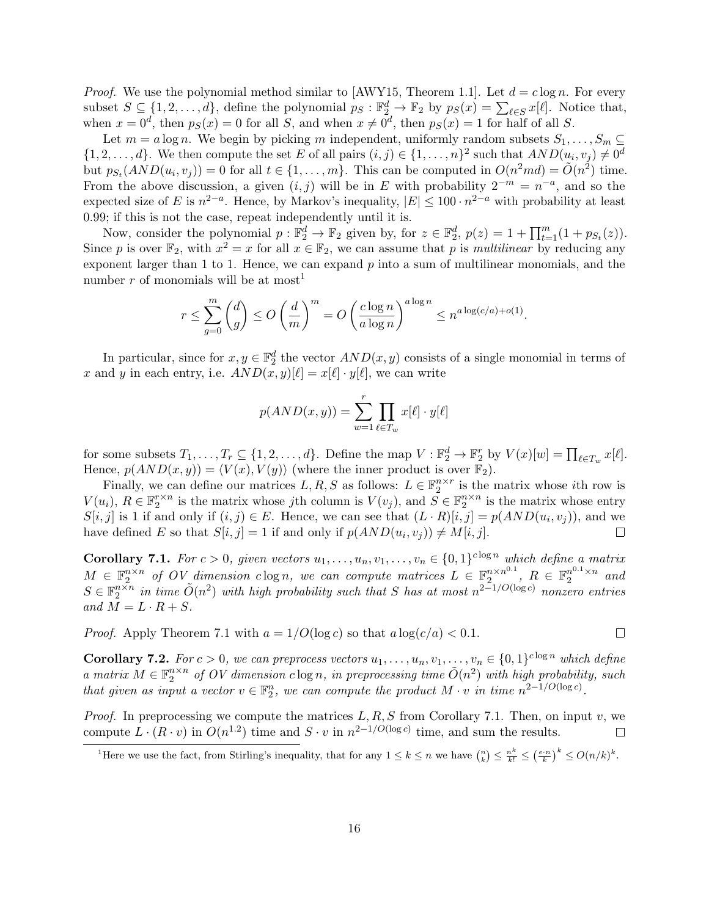*Proof.* We use the polynomial method similar to [AWY15, Theorem 1.1]. Let  $d = c \log n$ . For every subset  $S \subseteq \{1, 2, ..., d\}$ , define the polynomial  $p_S : \mathbb{F}_2^d \to \mathbb{F}_2$  by  $p_S(x) = \sum_{\ell \in S} x[\ell]$ . Notice that, when  $x = 0^d$ , then  $p_S(x) = 0$  for all S, and when  $x \neq 0^d$ , then  $p_S(x) = 1$  for half of all S.

Let  $m = a \log n$ . We begin by picking m independent, uniformly random subsets  $S_1, \ldots, S_m \subseteq$  $\{1, 2, \ldots, d\}$ . We then compute the set E of all pairs  $(i, j) \in \{1, \ldots, n\}^2$  such that  $AND(u_i, v_j) \neq 0^d$ but  $p_{S_t}(AND(u_i, v_j)) = 0$  for all  $t \in \{1, \ldots, m\}$ . This can be computed in  $O(n^2md) = \tilde{O}(n^2)$  time. From the above discussion, a given  $(i, j)$  will be in E with probability  $2^{-m} = n^{-a}$ , and so the expected size of E is  $n^{2-a}$ . Hence, by Markov's inequality,  $|E| \le 100 \cdot n^{2-a}$  with probability at least 0.99; if this is not the case, repeat independently until it is.

Now, consider the polynomial  $p : \mathbb{F}_2^d \to \mathbb{F}_2$  given by, for  $z \in \mathbb{F}_2^d$ ,  $p(z) = 1 + \prod_{t=1}^m (1 + p_{S_t}(z))$ . Since p is over  $\mathbb{F}_2$ , with  $x^2 = x$  for all  $x \in \mathbb{F}_2$ , we can assume that p is multilinear by reducing any exponent larger than 1 to 1. Hence, we can expand p into a sum of multilinear monomials, and the number r of monomials will be at most<sup>1</sup>

$$
r \le \sum_{g=0}^m \binom{d}{g} \le O\left(\frac{d}{m}\right)^m = O\left(\frac{c\log n}{a\log n}\right)^{a\log n} \le n^{a\log(c/a) + o(1)}.
$$

In particular, since for  $x, y \in \mathbb{F}_2^d$  the vector  $AND(x, y)$  consists of a single monomial in terms of x and y in each entry, i.e.  $AND(x, y)[\ell] = x[\ell] \cdot y[\ell]$ , we can write

$$
p(AND(x, y)) = \sum_{w=1}^{r} \prod_{\ell \in T_w} x[\ell] \cdot y[\ell]
$$

for some subsets  $T_1, \ldots, T_r \subseteq \{1, 2, \ldots, d\}$ . Define the map  $V : \mathbb{F}_2^d \to \mathbb{F}_2^r$  by  $V(x)[w] = \prod_{\ell \in T_w} x[\ell].$ Hence,  $p(AND(x, y)) = \langle V(x), V(y) \rangle$  (where the inner product is over  $\mathbb{F}_2$ ).

Finally, we can define our matrices  $L, R, S$  as follows:  $L \in \mathbb{F}_2^{n \times r}$  is the matrix whose *i*th row is  $V(u_i)$ ,  $R \in \mathbb{F}_2^{r \times n}$  is the matrix whose jth column is  $V(v_j)$ , and  $S \in \mathbb{F}_2^{n \times n}$  is the matrix whose entry  $S[i, j]$  is 1 if and only if  $(i, j) \in E$ . Hence, we can see that  $(L \cdot R)[i, j] = p(AND(u_i, v_j))$ , and we have defined E so that  $S[i, j] = 1$  if and only if  $p(AND(u_i, v_j)) \neq M[i, j]$ .  $\Box$ 

**Corollary 7.1.** For  $c > 0$ , given vectors  $u_1, \ldots, u_n, v_1, \ldots, v_n \in \{0,1\}^{c \log n}$  which define a matrix  $M \in \mathbb{F}_2^{n \times n}$  of OV dimension clog n, we can compute matrices  $L \in \mathbb{F}_2^{n \times n^{0.1}}$  $\frac{n \times n^{0.1}}{2}$ ,  $R \in \mathbb{F}_2^{n^{0.1} \times n}$  and  $S \in \mathbb{F}_2^{n \times n}$  in time  $\tilde{O}(n^2)$  with high probability such that S has at most  $n^{2-1/O(\log c)}$  nonzero entries and  $M = L \cdot R + S$ .

*Proof.* Apply Theorem 7.1 with  $a = 1/O(\log c)$  so that  $a \log(c/a) < 0.1$ .

**Corollary 7.2.** For  $c > 0$ , we can preprocess vectors  $u_1, \ldots, u_n, v_1, \ldots, v_n \in \{0,1\}^{c \log n}$  which define a matrix  $M \in \mathbb{F}_2^{n \times n}$  of OV dimension  $c \log n$ , in preprocessing time  $\tilde{O}(n^2)$  with high probability, such that given as input a vector  $v \in \mathbb{F}_2^n$ , we can compute the product  $M \cdot v$  in time  $n^{2-1/O(\log c)}$ .

 $\Box$ 

*Proof.* In preprocessing we compute the matrices  $L, R, S$  from Corollary 7.1. Then, on input v, we compute  $L \cdot (R \cdot v)$  in  $O(n^{1.2})$  time and  $S \cdot v$  in  $n^{2-1/O(\log c)}$  time, and sum the results.  $\Box$ 

<sup>&</sup>lt;sup>1</sup>Here we use the fact, from Stirling's inequality, that for any  $1 \leq k \leq n$  we have  $\binom{n}{k} \leq \frac{n^k}{k!} \leq \left(\frac{e \cdot n}{k}\right)^k \leq O(n/k)^k$ .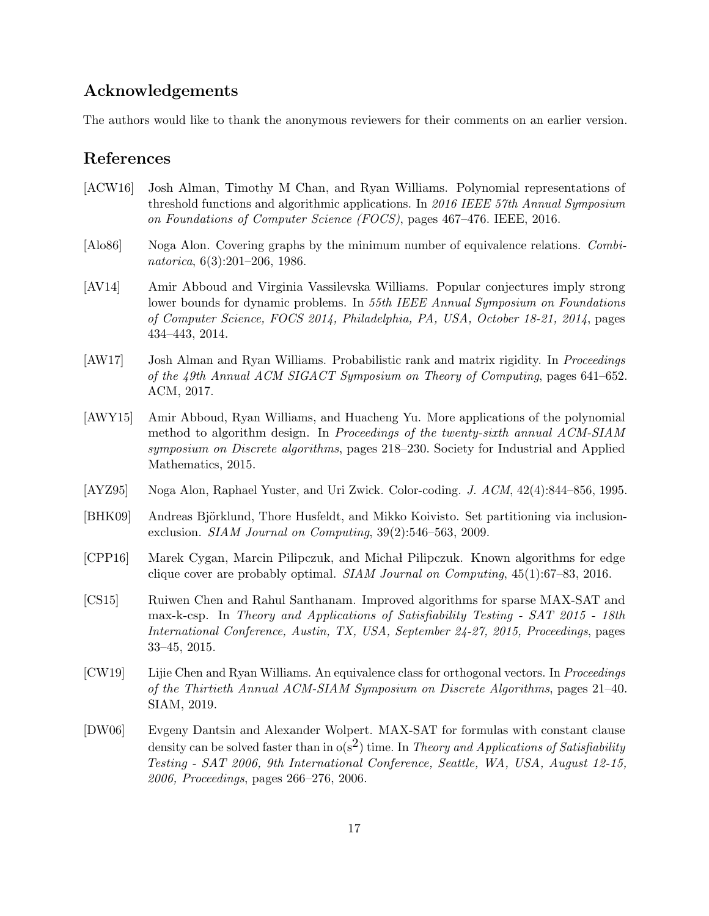## Acknowledgements

The authors would like to thank the anonymous reviewers for their comments on an earlier version.

# References

- [ACW16] Josh Alman, Timothy M Chan, and Ryan Williams. Polynomial representations of threshold functions and algorithmic applications. In 2016 IEEE 57th Annual Symposium on Foundations of Computer Science (FOCS), pages 467–476. IEEE, 2016.
- [Alo86] Noga Alon. Covering graphs by the minimum number of equivalence relations. Combinatorica, 6(3):201–206, 1986.
- [AV14] Amir Abboud and Virginia Vassilevska Williams. Popular conjectures imply strong lower bounds for dynamic problems. In 55th IEEE Annual Symposium on Foundations of Computer Science, FOCS 2014, Philadelphia, PA, USA, October 18-21, 2014, pages 434–443, 2014.
- [AW17] Josh Alman and Ryan Williams. Probabilistic rank and matrix rigidity. In *Proceedings* of the 49th Annual ACM SIGACT Symposium on Theory of Computing, pages 641–652. ACM, 2017.
- [AWY15] Amir Abboud, Ryan Williams, and Huacheng Yu. More applications of the polynomial method to algorithm design. In Proceedings of the twenty-sixth annual ACM-SIAM symposium on Discrete algorithms, pages 218–230. Society for Industrial and Applied Mathematics, 2015.
- [AYZ95] Noga Alon, Raphael Yuster, and Uri Zwick. Color-coding. J. ACM, 42(4):844–856, 1995.
- [BHK09] Andreas Björklund, Thore Husfeldt, and Mikko Koivisto. Set partitioning via inclusionexclusion. SIAM Journal on Computing, 39(2):546–563, 2009.
- [CPP16] Marek Cygan, Marcin Pilipczuk, and Micha l Pilipczuk. Known algorithms for edge clique cover are probably optimal.  $SIAM Journal on Computing$ , 45(1):67–83, 2016.
- [CS15] Ruiwen Chen and Rahul Santhanam. Improved algorithms for sparse MAX-SAT and max-k-csp. In Theory and Applications of Satisfiability Testing - SAT 2015 - 18th International Conference, Austin, TX, USA, September 24-27, 2015, Proceedings, pages 33–45, 2015.
- [CW19] Lijie Chen and Ryan Williams. An equivalence class for orthogonal vectors. In Proceedings of the Thirtieth Annual ACM-SIAM Symposium on Discrete Algorithms, pages 21–40. SIAM, 2019.
- [DW06] Evgeny Dantsin and Alexander Wolpert. MAX-SAT for formulas with constant clause density can be solved faster than in  $o(s^2)$  time. In Theory and Applications of Satisfiability Testing - SAT 2006, 9th International Conference, Seattle, WA, USA, August 12-15, 2006, Proceedings, pages 266–276, 2006.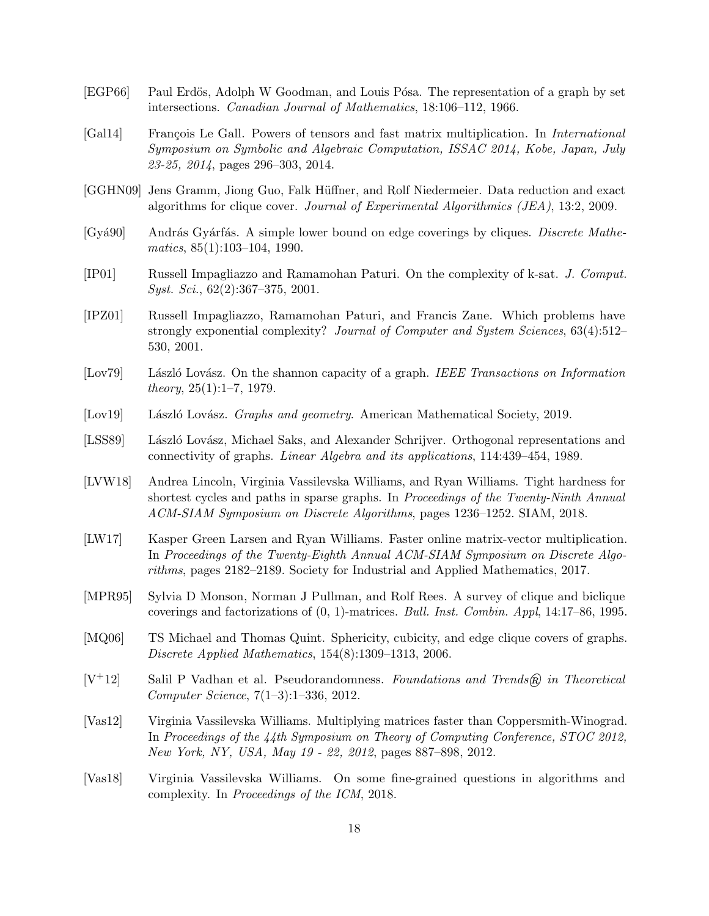- [EGP66] Paul Erdös, Adolph W Goodman, and Louis Pósa. The representation of a graph by set intersections. Canadian Journal of Mathematics, 18:106–112, 1966.
- [Gal14] François Le Gall. Powers of tensors and fast matrix multiplication. In *International* Symposium on Symbolic and Algebraic Computation, ISSAC 2014, Kobe, Japan, July 23-25, 2014, pages 296–303, 2014.
- [GGHN09] Jens Gramm, Jiong Guo, Falk Hüffner, and Rolf Niedermeier. Data reduction and exact algorithms for clique cover. Journal of Experimental Algorithmics (JEA), 13:2, 2009.
- [Gyá90] András Gyárfás. A simple lower bound on edge coverings by cliques. *Discrete Mathe*matics, 85(1):103–104, 1990.
- [IP01] Russell Impagliazzo and Ramamohan Paturi. On the complexity of k-sat. J. Comput.  $Syst. Sci., 62(2):367-375, 2001.$
- [IPZ01] Russell Impagliazzo, Ramamohan Paturi, and Francis Zane. Which problems have strongly exponential complexity? Journal of Computer and System Sciences, 63(4):512– 530, 2001.
- [Lov79] László Lovász. On the shannon capacity of a graph. IEEE Transactions on Information theory,  $25(1):1-7$ , 1979.
- [Lov19] László Lovász. Graphs and geometry. American Mathematical Society, 2019.
- [LSS89] László Lovász, Michael Saks, and Alexander Schrijver. Orthogonal representations and connectivity of graphs. Linear Algebra and its applications, 114:439–454, 1989.
- [LVW18] Andrea Lincoln, Virginia Vassilevska Williams, and Ryan Williams. Tight hardness for shortest cycles and paths in sparse graphs. In Proceedings of the Twenty-Ninth Annual ACM-SIAM Symposium on Discrete Algorithms, pages 1236–1252. SIAM, 2018.
- [LW17] Kasper Green Larsen and Ryan Williams. Faster online matrix-vector multiplication. In Proceedings of the Twenty-Eighth Annual ACM-SIAM Symposium on Discrete Algorithms, pages 2182–2189. Society for Industrial and Applied Mathematics, 2017.
- [MPR95] Sylvia D Monson, Norman J Pullman, and Rolf Rees. A survey of clique and biclique coverings and factorizations of (0, 1)-matrices. Bull. Inst. Combin. Appl, 14:17–86, 1995.
- [MQ06] TS Michael and Thomas Quint. Sphericity, cubicity, and edge clique covers of graphs. Discrete Applied Mathematics, 154(8):1309–1313, 2006.
- $[V^+12]$  Salil P Vadhan et al. Pseudorandomness. Foundations and Trends® in Theoretical Computer Science, 7(1–3):1–336, 2012.
- [Vas12] Virginia Vassilevska Williams. Multiplying matrices faster than Coppersmith-Winograd. In Proceedings of the 44th Symposium on Theory of Computing Conference, STOC 2012, New York, NY, USA, May 19 - 22, 2012, pages 887–898, 2012.
- [Vas18] Virginia Vassilevska Williams. On some fine-grained questions in algorithms and complexity. In Proceedings of the ICM, 2018.